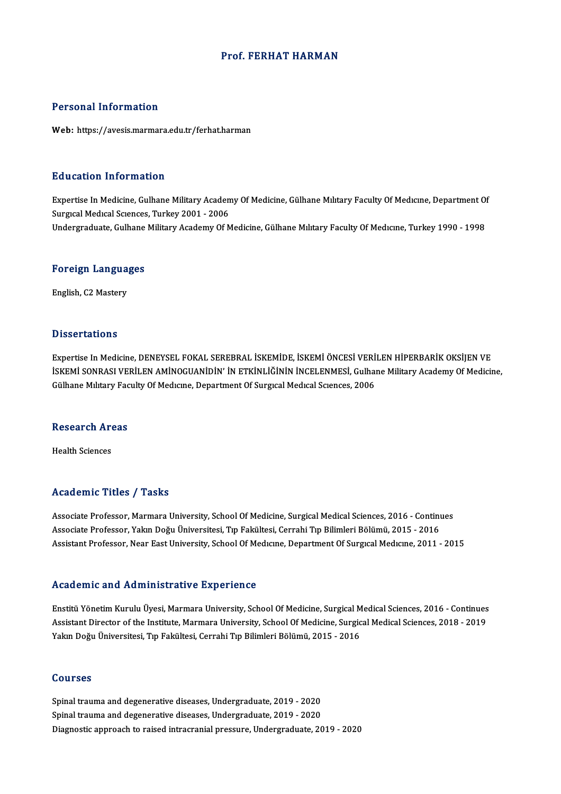### Prof. FERHAT HARMAN

### Personal Information

Web: https://avesis.marmara.edu.tr/ferhat.harman

### Education Information

Education Information<br>Expertise In Medicine, Gulhane Military Academy Of Medicine, Gülhane Mılıtary Faculty Of Medıcıne, Department Of<br>Surgisel Medical Saences, Turkey 2001, ...2006 Surguction Timor Musical<br>Expertise In Medicine, Gulhane Military Acaden<br>Surgıcal Medical Sciences, Turkey 2001 - 2006<br>Undergraduate, Culhane Military Academy Of N Expertise In Medicine, Gulhane Military Academy Of Medicine, Gülhane Mılıtary Faculty Of Medıcıne, Department O<br>Surgıcal Medıcal Scıences, Turkey 2001 - 2006<br>Undergraduate, Gulhane Military Academy Of Medicine, Gülhane Mıl

# <sub>ondergraduate, Gumane<br>Foreign Languages</sub> F<mark>oreign Langua</mark><br>English, C2 Mastery

English, C2 Mastery<br>Dissertations

Dissertations<br>Expertise In Medicine, DENEYSEL FOKAL SEREBRAL İSKEMİDE, İSKEMİ ÖNCESİ VERİLEN HİPERBARİK OKSİJEN VE<br>İSKEMİ SONRASI VERİLEN AMİNOCUANİDİN' İN ETKinl İğinin İNCELENMESİ, Culbana Military Asadamy Of Madigi: İSKEMİ SONRASI VERİLEN AMİNOGUANİDİN' İN ETKİNLİĞİNİN İNCELENMESİ, Gulhane Military Academy Of Medicine,<br>Gülhane Military Faculty Of Medicine, Department Of Surgical Medical Sciences, 2006 Expertise In Medicine, DENEYSEL FOKAL SEREBRAL İSKEMİDE, İSKEMİ ÖNCESİ VERİ<br>İSKEMİ SONRASI VERİLEN AMİNOGUANİDİN' İN ETKİNLİĞİNİN İNCELENMESİ, Gulhaı<br>Gülhane Mılıtary Faculty Of Medicine, Department Of Surgıcal Medical Sci

# unnane mintary rad<br>Research Areas R<mark>esearch Ar</mark><br>Health Sciences

# Academic Titles / Tasks

Associate Professor, Marmara University, School Of Medicine, Surgical Medical Sciences, 2016 - Continues Associate Professor, Yakın Doğu Üniversitesi, Tıp Fakültesi, Cerrahi Tıp Bilimleri Bölümü, 2015 - 2016 Assistant Professor, Near East University, School Of Medicine, Department Of Surgical Medicine, 2011 - 2015

### Academic and Administrative Experience

Academic and Administrative Experience<br>Enstitü Yönetim Kurulu Üyesi, Marmara University, School Of Medicine, Surgical Medical Sciences, 2016 - Continues<br>Assistant Director of the Institute Marmara University, School Of Med Assistant Director of the Institute of the Original Director of Medicine, Surgical Medical Sciences, 2016 - Continues<br>Assistant Director of the Institute, Marmara University, School Of Medicine, Surgical Medical Sciences, Assistant Director of the Institute, Marmara University, School Of Medicine, Surgical Medical Sciences, 2018 - 2019<br>Yakın Doğu Üniversitesi, Tıp Fakültesi, Cerrahi Tıp Bilimleri Bölümü, 2015 - 2016

### Courses

Spinal trauma and degenerative diseases,Undergraduate,2019 -2020 Spinal trauma and degenerative diseases,Undergraduate,2019 -2020 Diagnostic approach to raised intracranial pressure, Undergraduate, 2019 - 2020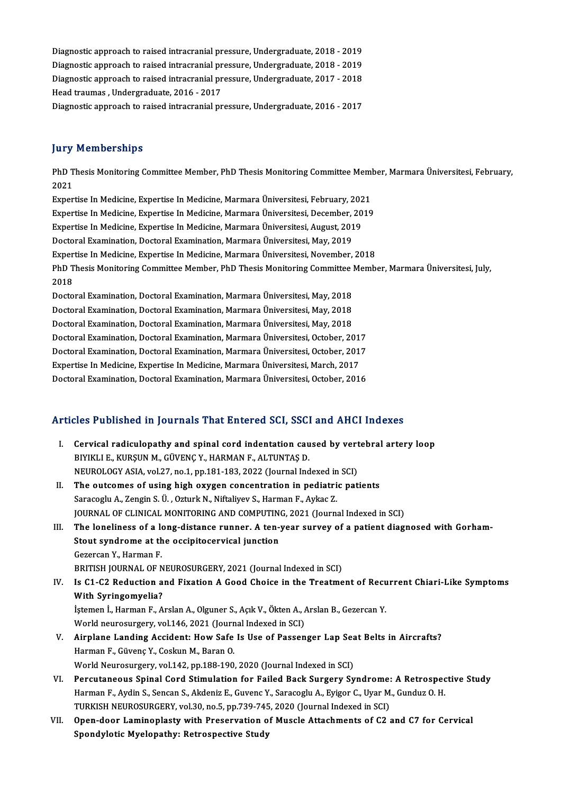Diagnostic approach to raised intracranialpressure,Undergraduate,2018 -2019 Diagnostic approach to raised intracranial pressure, Undergraduate, 2018 - 2019<br>Diagnostic approach to raised intracranial pressure, Undergraduate, 2018 - 2019<br>Diagnostic approach to raised intracranial pressure, Undergrad Diagnostic approach to raised intracranial pressure, Undergraduate, 2018 - 2019<br>Diagnostic approach to raised intracranial pressure, Undergraduate, 2018 - 2019<br>Diagnostic approach to raised intracranial pressure, Undergrad Diagnostic approach to raised intracranial pressure, Undergraduate, 2018 - 2019<br>Diagnostic approach to raised intracranial pressure, Undergraduate, 2017 - 2018<br>Head traumas , Undergraduate, 2016 - 2017<br>Diagnostic approach Diagnostic approach to raised intracranial pressure, Undergraduate, 2017 - 2018

## **Jury Memberships**

**Jury Memberships**<br>PhD Thesis Monitoring Committee Member, PhD Thesis Monitoring Committee Member, Marmara Üniversitesi, February,<br>2021 yary<br>PhD T<br>2021<br>Evror PhD Thesis Monitoring Committee Member, PhD Thesis Monitoring Committee Meml<br>2021<br>Expertise In Medicine, Expertise In Medicine, Marmara Üniversitesi, February, 2021<br>Expertise In Medicine, Expertise In Medicine, Marmara Üni 2021<br>Expertise In Medicine, Expertise In Medicine, Marmara Üniversitesi, February, 2021<br>Expertise In Medicine, Expertise In Medicine, Marmara Üniversitesi, December, 2019<br>Expertise In Medicine, Expertise In Medicine, Marma Expertise In Medicine, Expertise In Medicine, Marmara Üniversitesi, February, 202<br>Expertise In Medicine, Expertise In Medicine, Marmara Üniversitesi, December, 20<br>Expertise In Medicine, Expertise In Medicine, Marmara Ünive Expertise In Medicine, Expertise In Medicine, Marmara Üniversitesi, December, 2019<br>Expertise In Medicine, Expertise In Medicine, Marmara Üniversitesi, August, 2019<br>Doctoral Examination, Doctoral Examination, Marmara Üniver Expertise In Medicine, Expertise In Medicine, Marmara Üniversitesi, November, 2018 Doctoral Examination, Doctoral Examination, Marmara Üniversitesi, May, 2019<br>Expertise In Medicine, Expertise In Medicine, Marmara Üniversitesi, November, 2018<br>PhD Thesis Monitoring Committee Member, PhD Thesis Monitoring C Exper<br>PhD T<br>2018 PhD Thesis Monitoring Committee Member, PhD Thesis Monitoring Committee |<br>2018<br>Doctoral Examination, Doctoral Examination, Marmara Üniversitesi, May, 2018<br>Doctoral Examination, Doctoral Examination, Marmara Üniversitesi, M 2018<br>Doctoral Examination, Doctoral Examination, Marmara Üniversitesi, May, 2018<br>Doctoral Examination, Doctoral Examination, Marmara Üniversitesi, May, 2018<br>Doctoral Examination, Doctoral Examination, Marmara Üniversitesi, Doctoral Examination, Doctoral Examination, Marmara Üniversitesi, May, 2018<br>Doctoral Examination, Doctoral Examination, Marmara Üniversitesi, May, 2018<br>Doctoral Examination, Doctoral Examination, Marmara Üniversitesi, May, Doctoral Examination, Doctoral Examination, Marmara Üniversitesi, May, 2018<br>Doctoral Examination, Doctoral Examination, Marmara Üniversitesi, October, 2017 Doctoral Examination, Doctoral Examination, Marmara Üniversitesi, May, 2018<br>Doctoral Examination, Doctoral Examination, Marmara Üniversitesi, October, 2017<br>Doctoral Examination, Doctoral Examination, Marmara Üniversitesi, Doctoral Examination, Doctoral Examination, Marmara Üniversitesi, October, 201<br>Doctoral Examination, Doctoral Examination, Marmara Üniversitesi, October, 2017<br>Expertise In Medicine, Expertise In Medicine, Marmara Üniversit Doctoral Examination, Doctoral Examination, Marmara Üniversitesi, October, 2017<br>Expertise In Medicine, Expertise In Medicine, Marmara Üniversitesi, March, 2017<br>Doctoral Examination, Doctoral Examination, Marmara Üniversite Doctoral Examination, Doctoral Examination, Marmara Universitesi, October, 2016<br>Articles Published in Journals That Entered SCI, SSCI and AHCI Indexes

| Articles Published in Journals That Entered SCI, SSCI and AHCI Indexes |                                                                                                                                                                                                                           |  |
|------------------------------------------------------------------------|---------------------------------------------------------------------------------------------------------------------------------------------------------------------------------------------------------------------------|--|
| L                                                                      | Cervical radiculopathy and spinal cord indentation caused by vertebral artery loop<br>BIYIKLI E., KURŞUN M., GÜVENÇ Y., HARMAN F., ALTUNTAŞ D.<br>NEUROLOGY ASIA, vol.27, no.1, pp.181-183, 2022 (Journal Indexed in SCI) |  |
| II.                                                                    | The outcomes of using high oxygen concentration in pediatric patients                                                                                                                                                     |  |
|                                                                        | Saracoglu A., Zengin S. Ü., Ozturk N., Niftaliyev S., Harman F., Aykac Z.                                                                                                                                                 |  |
|                                                                        | JOURNAL OF CLINICAL MONITORING AND COMPUTING, 2021 (Journal Indexed in SCI)                                                                                                                                               |  |
| III.                                                                   | The loneliness of a long-distance runner. A ten-year survey of a patient diagnosed with Gorham-                                                                                                                           |  |
|                                                                        | Stout syndrome at the occipitocervical junction                                                                                                                                                                           |  |
|                                                                        | Gezercan Y, Harman F                                                                                                                                                                                                      |  |
|                                                                        | BRITISH JOURNAL OF NEUROSURGERY, 2021 (Journal Indexed in SCI)                                                                                                                                                            |  |
| IV                                                                     | Is C1-C2 Reduction and Fixation A Good Choice in the Treatment of Recurrent Chiari-Like Symptoms                                                                                                                          |  |
|                                                                        | With Syringomyelia?                                                                                                                                                                                                       |  |
|                                                                        | İştemen İ., Harman F., Arslan A., Olguner S., Açık V., Ökten A., Arslan B., Gezercan Y.                                                                                                                                   |  |
|                                                                        | World neurosurgery, vol.146, 2021 (Journal Indexed in SCI)                                                                                                                                                                |  |
| V.                                                                     | Airplane Landing Accident: How Safe Is Use of Passenger Lap Seat Belts in Aircrafts?                                                                                                                                      |  |
|                                                                        | Harman F., Güvenç Y., Coskun M., Baran O.                                                                                                                                                                                 |  |
|                                                                        | World Neurosurgery, vol.142, pp.188-190, 2020 (Journal Indexed in SCI)                                                                                                                                                    |  |
| VI.                                                                    | Percutaneous Spinal Cord Stimulation for Failed Back Surgery Syndrome: A Retrospective Study                                                                                                                              |  |
|                                                                        | Harman F., Aydin S., Sencan S., Akdeniz E., Guvenc Y., Saracoglu A., Eyigor C., Uyar M., Gunduz O. H.                                                                                                                     |  |
|                                                                        | TURKISH NEUROSURGERY, vol.30, no.5, pp.739-745, 2020 (Journal Indexed in SCI)                                                                                                                                             |  |
| VII.                                                                   | Open-door Laminoplasty with Preservation of Muscle Attachments of C2 and C7 for Cervical                                                                                                                                  |  |
|                                                                        | Spondylotic Myelopathy: Retrospective Study                                                                                                                                                                               |  |
|                                                                        |                                                                                                                                                                                                                           |  |
|                                                                        |                                                                                                                                                                                                                           |  |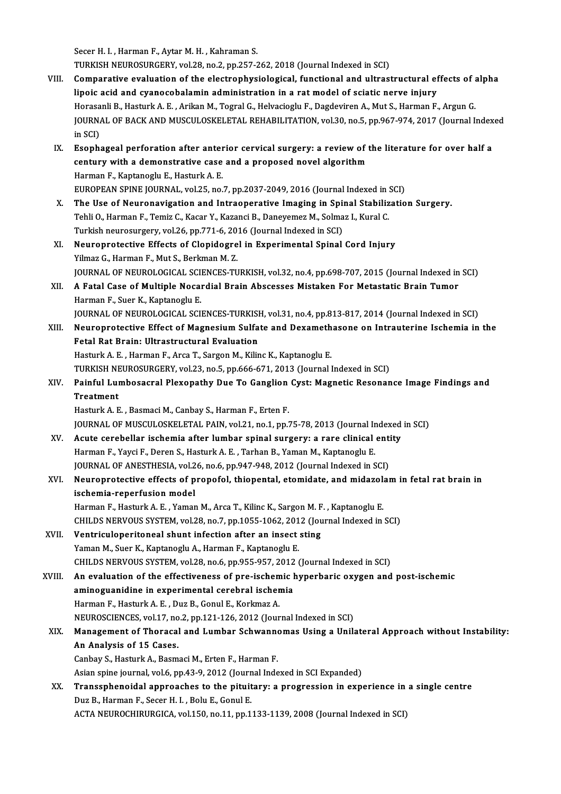Secer H. I., Harman F., Aytar M. H., Kahraman S.

TURKISH NEUROSURGERY, vol.28, no.2, pp.257-262, 2018 (Journal Indexed in SCI)

- VIII. Comparative evaluation of the electrophysiological, functional and ultrastructural effects of alpha lipoic acid and cyanocobalamin administration in a ratmodel of sciatic nerve injury Comparative evaluation of the electrophysiological, functional and ultrastructural effects of a<br>lipoic acid and cyanocobalamin administration in a rat model of sciatic nerve injury<br>Horasanli B., Hasturk A. E. , Arikan M., JOURNAL OF BACK AND MUSCULOSKELETAL REHABILITATION, vol.30, no.5, pp.967-974, 2017 (Journal Indexed in SCI) Horasa<br>JOURNA<br>in SCI)<br>Esanh: JOURNAL OF BACK AND MUSCULOSKELETAL REHABILITATION, vol.30, no.5, pp.967-974, 2017 (Journal Index<br>in SCI)<br>IX. Esophageal perforation after anterior cervical surgery: a review of the literature for over half a<br>contury with
	- in SCI)<br>Esophageal perforation after anterior cervical surgery: a review of t<br>century with a demonstrative case and a proposed novel algorithm<br>Harman E. Kantanoslu E. Hasturk A. E Esophageal perforation after anter<br>century with a demonstrative case<br>Harman F., Kaptanoglu E., Hasturk A. E.<br>EUROPEAN SPINE JOUPNAL, vol 25, no. century with a demonstrative case and a proposed novel algorithm<br>Harman F., Kaptanoglu E., Hasturk A. E.<br>EUROPEAN SPINE JOURNAL, vol.25, no.7, pp.2037-2049, 2016 (Journal Indexed in SCI)
	- X. The Use of Neuronavigation and Intraoperative Imaging in Spinal Stabilization Surgery. Tehli O., Harman F., Temiz C., Kacar Y., Kazanci B., Daneyemez M., Solmaz I., Kural C. The Use of Neuronavigation and Intraoperative Imaging in Spin<br>Tehli O., Harman F., Temiz C., Kacar Y., Kazanci B., Daneyemez M., Solma<br>Turkish neurosurgery, vol.26, pp.771-6, 2016 (Journal Indexed in SCI)<br>Neuroprotective E
	- XI. Neuroprotective Effects of Clopidogrel in Experimental Spinal Cord Injury Turkish neurosurgery, vol.26, pp.771-6, 20<br>Neuroprotective Effects of Clopidogre<br>Yilmaz G., Harman F., Mut S., Berkman M. Z.<br>JOUPMAL OF NEUPOLOCICAL SCIENCES TU Neuroprotective Effects of Clopidogrel in Experimental Spinal Cord Injury<br>Yilmaz G., Harman F., Mut S., Berkman M. Z.<br>JOURNAL OF NEUROLOGICAL SCIENCES-TURKISH, vol.32, no.4, pp.698-707, 2015 (Journal Indexed in SCI)<br>A Eata
- XII. A Fatal Case of Multiple Nocardial Brain Abscesses Mistaken For Metastatic Brain Tumor<br>Harman F., Suer K., Kaptanoglu E. JOURNAL OF NEUROLOGICAL SCI<br>A Fatal Case of Multiple Nocal<br>Harman F., Suer K., Kaptanoglu E.<br>JOURNAL OF NEUROLOGICAL SCI A Fatal Case of Multiple Nocardial Brain Abscesses Mistaken For Metastatic Brain Tumor<br>Harman F., Suer K., Kaptanoglu E.<br>JOURNAL OF NEUROLOGICAL SCIENCES-TURKISH, vol.31, no.4, pp.813-817, 2014 (Journal Indexed in SCI)<br>Neu Harman F., Suer K., Kaptanoglu E.<br>JOURNAL OF NEUROLOGICAL SCIENCES-TURKISH, vol.31, no.4, pp.813-817, 2014 (Journal Indexed in SCI)<br>XIII. Neuroprotective Effect of Magnesium Sulfate and Dexamethasone on Intrauterine Ischem
- FOURNAL OF NEUROLOGICAL SCIENCES-TURKISH<br>Neuroprotective Effect of Magnesium Sulfa<br>Fetal Rat Brain: Ultrastructural Evaluation<br>Hasturk A. E., Harman E., Arga T. Sargan M. Kilin Neuroprotective Effect of Magnesium Sulfate and Dexameth<br>Fetal Rat Brain: Ultrastructural Evaluation<br>Hasturk A. E. , Harman F., Arca T., Sargon M., Kilinc K., Kaptanoglu E.<br>TURKISH NEUROSURCERY Vol 22, no 5, nn 666, 671, 2 Fetal Rat Brain: Ultrastructural Evaluation<br>Hasturk A. E. , Harman F., Arca T., Sargon M., Kilinc K., Kaptanoglu E.<br>TURKISH NEUROSURGERY, vol.23, no.5, pp.666-671, 2013 (Journal Indexed in SCI)<br>Painful Lumbosasral Playopat Hasturk A. E. , Harman F., Arca T., Sargon M., Kilinc K., Kaptanoglu E.<br>TURKISH NEUROSURGERY, vol.23, no.5, pp.666-671, 2013 (Journal Indexed in SCI)<br>XIV. Painful Lumbosacral Plexopathy Due To Ganglion Cyst: Magnetic R
- TURKISH NE<br>Painful Lui<br>Treatment<br>Hosturk A. E Painful Lumbosacral Plexopathy Due To Ganglion<br>Treatment<br>Hasturk A. E. , Basmaci M., Canbay S., Harman F., Erten F.<br>JOUPMAL OF MUSCULOSKELETAL PAIN, vol.21, no.1, nn.1 Treatment<br>Hasturk A. E. , Basmaci M., Canbay S., Harman F., Erten F.<br>JOURNAL OF MUSCULOSKELETAL PAIN, vol.21, no.1, pp.75-78, 2013 (Journal Indexed in SCI)

- Hasturk A. E., Basmaci M., Canbay S., Harman F., Erten F.<br>JOURNAL OF MUSCULOSKELETAL PAIN, vol.21, no.1, pp.75-78, 2013 (Journal Indexed<br>XV. Acute cerebellar ischemia after lumbar spinal surgery: a rare clinical entity<br>Har JOURNAL OF MUSCULOSKELETAL PAIN, vol.21, no.1, pp.75-78, 2013 (Journal In<br>Acute cerebellar ischemia after lumbar spinal surgery: a rare clinical<br>Harman F., Yayci F., Deren S., Hasturk A. E. , Tarhan B., Yaman M., Kaptanogl Acute cerebellar ischemia after lumbar spinal surgery: a rare clinical enti<br>Harman F., Yayci F., Deren S., Hasturk A. E. , Tarhan B., Yaman M., Kaptanoglu E.<br>JOURNAL OF ANESTHESIA, vol.26, no.6, pp.947-948, 2012 (Journal I Harman F., Yayci F., Deren S., Hasturk A. E. , Tarhan B., Yaman M., Kaptanoglu E.<br>JOURNAL OF ANESTHESIA, vol.26, no.6, pp.947-948, 2012 (Journal Indexed in SCI)<br>XVI. Neuroprotective effects of propofol, thiopental, etomida
- JOURNAL OF ANESTHESIA, vol.2<br>Neuroprotective effects of p<br>ischemia-reperfusion model<br>Harman E. Hasturk A. E. Yamar Neuroprotective effects of propofol, thiopental, etomidate, and midazola<br>ischemia-reperfusion model<br>Harman F., Hasturk A. E. , Yaman M., Arca T., Kilinc K., Sargon M. F. , Kaptanoglu E.<br>CHU DS NERVOUS SYSTEM vol 29, no 7,

ischemia-reperfusion model<br>Harman F., Hasturk A. E. , Yaman M., Arca T., Kilinc K., Sargon M. F. , Kaptanoglu E.<br>CHILDS NERVOUS SYSTEM, vol.28, no.7, pp.1055-1062, 2012 (Journal Indexed in SCI)<br>Ventrieulaneritaneel shunt i Harman F., Hasturk A. E. , Yaman M., Arca T., Kilinc K., Sargon M. F. , Kaptanoglu E.<br>CHILDS NERVOUS SYSTEM, vol.28, no.7, pp.1055-1062, 2012 (Journal Indexed in<br>XVII. Ventriculoperitoneal shunt infection after an insect s

CHILDS NERVOUS SYSTEM, vol.28, no.7, pp.1055-1062, 201<br>Ventriculoperitoneal shunt infection after an insect<br>Yaman M., Suer K., Kaptanoglu A., Harman F., Kaptanoglu E.<br>CHILDS NERVOUS SYSTEM, vol.29, no.6, np.955, 957, 2012 Ventriculoperitoneal shunt infection after an insect sting<br>Yaman M., Suer K., Kaptanoglu A., Harman F., Kaptanoglu E.<br>CHILDS NERVOUS SYSTEM, vol.28, no.6, pp.955-957, 2012 (Journal Indexed in SCI)<br>An evaluation of the effe

XVIII. An evaluation of the effectiveness of pre-ischemic hyperbaric oxygen and post-ischemic<br>aminoguanidine in experimental cerebral ischemia CHILDS NERVOUS SYSTEM, vol.28, no.6, pp.955-957, 2012<br>An evaluation of the effectiveness of pre-ischemic laminoguanidine in experimental cerebral ischemia<br>Harman E. Hasturk A. E., Dur B. Capul E. Karlman A Harman F., Hasturk A. E., Duz B., Gonul E., Korkmaz A. aminoguanidine in experimental cerebral ischemia<br>Harman F., Hasturk A. E. , Duz B., Gonul E., Korkmaz A.<br>NEUROSCIENCES, vol.17, no.2, pp.121-126, 2012 (Journal Indexed in SCI)<br>Management of Theresel and Lumber Sehwannemes Harman F., Hasturk A. E. , Duz B., Gonul E., Korkmaz A.<br>NEUROSCIENCES, vol.17, no.2, pp.121-126, 2012 (Journal Indexed in SCI)<br>XIX. Management of Thoracal and Lumbar Schwannomas Using a Unilateral Approach without Instabil

# NEUROSCIENCES, vol.17, no<br>Management of Thoracal<br>An Analysis of 15 Cases.<br>Canhau S. Hasturk A. Pasm Management of Thoracal and Lumbar Schwanne<br>An Analysis of 15 Cases.<br>Canbay S., Hasturk A., Basmaci M., Erten F., Harman F.<br>Asian spine journal val 6 np 42.0, 2012 (Journal Indo An Analysis of 15 Cases.<br>Canbay S., Hasturk A., Basmaci M., Erten F., Harman F.<br>Asian spine journal, vol.6, pp.43-9, 2012 (Journal Indexed in SCI Expanded)<br>Transsphanaidel approaches to the pituitery: a pregression in evro

Canbay S., Hasturk A., Basmaci M., Erten F., Harman F.<br>Asian spine journal, vol.6, pp.43-9, 2012 (Journal Indexed in SCI Expanded)<br>XX. Transsphenoidal approaches to the pituitary: a progression in experience in a single ce Asian spine journal, vol.6, pp.43-9, 2012 (Journ<br>Transsphenoidal approaches to the pituit<br>Duz B., Harman F., Secer H. I. , Bolu E., Gonul E.<br>ACTA NEUPOCHIBURGICA .vol.150, pp.11, pp.1. Transsphenoidal approaches to the pituitary: a progression in experience in<br>Duz B., Harman F., Secer H. I. , Bolu E., Gonul E.<br>ACTA NEUROCHIRURGICA, vol.150, no.11, pp.1133-1139, 2008 (Journal Indexed in SCI)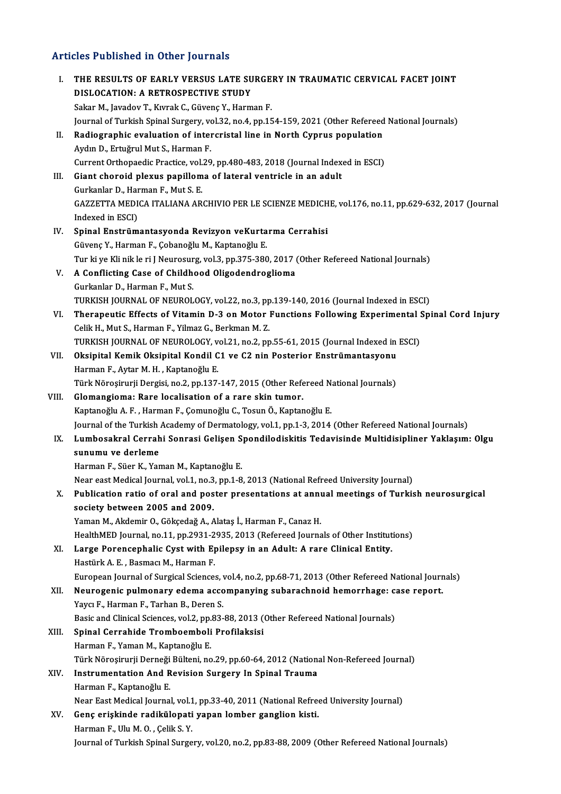# Articles Published in Other Journals

|       | <b>Articles Published in Other Journals</b>                                                                                                                               |
|-------|---------------------------------------------------------------------------------------------------------------------------------------------------------------------------|
| Ι.    | THE RESULTS OF EARLY VERSUS LATE SURGERY IN TRAUMATIC CERVICAL FACET JOINT<br>DISLOCATION: A RETROSPECTIVE STUDY<br>Sakar M., Javadov T., Kıvrak C., Güvenç Y., Harman F. |
|       | Journal of Turkish Spinal Surgery, vol.32, no.4, pp.154-159, 2021 (Other Refereed National Journals)                                                                      |
| П.    | Radiographic evaluation of intercristal line in North Cyprus population                                                                                                   |
|       | Aydın D., Ertuğrul Mut S., Harman F.                                                                                                                                      |
|       | Current Orthopaedic Practice, vol.29, pp.480-483, 2018 (Journal Indexed in ESCI)                                                                                          |
| III.  | Giant choroid plexus papilloma of lateral ventricle in an adult                                                                                                           |
|       | Gurkanlar D., Harman F., Mut S. E.                                                                                                                                        |
|       | GAZZETTA MEDICA ITALIANA ARCHIVIO PER LE SCIENZE MEDICHE, vol.176, no.11, pp.629-632, 2017 (Journal                                                                       |
|       | Indexed in ESCI)                                                                                                                                                          |
| IV.   | Spinal Enstrümantasyonda Revizyon veKurtarma Cerrahisi                                                                                                                    |
|       | Güvenç Y., Harman F., Çobanoğlu M., Kaptanoğlu E.                                                                                                                         |
|       | Tur ki ye Kli nik le ri J Neurosurg, vol.3, pp.375-380, 2017 (Other Refereed National Journals)                                                                           |
| V.    | A Conflicting Case of Childhood Oligodendroglioma                                                                                                                         |
|       | Gurkanlar D., Harman F., Mut S.                                                                                                                                           |
|       | TURKISH JOURNAL OF NEUROLOGY, vol.22, no.3, pp.139-140, 2016 (Journal Indexed in ESCI)                                                                                    |
| VI.   | Therapeutic Effects of Vitamin D-3 on Motor Functions Following Experimental Spinal Cord Injury                                                                           |
|       | Celik H., Mut S., Harman F., Yilmaz G., Berkman M.Z.                                                                                                                      |
| VII.  | TURKISH JOURNAL OF NEUROLOGY, vol.21, no.2, pp.55-61, 2015 (Journal Indexed in ESCI)                                                                                      |
|       | Oksipital Kemik Oksipital Kondil C1 ve C2 nin Posterior Enstrümantasyonu<br>Harman F., Aytar M. H., Kaptanoğlu E.                                                         |
|       | Türk Nöroşirurji Dergisi, no.2, pp.137-147, 2015 (Other Refereed National Journals)                                                                                       |
| VIII. | Glomangioma: Rare localisation of a rare skin tumor.                                                                                                                      |
|       | Kaptanoğlu A. F., Harman F., Çomunoğlu C., Tosun Ö., Kaptanoğlu E.                                                                                                        |
|       | Journal of the Turkish Academy of Dermatology, vol.1, pp.1-3, 2014 (Other Refereed National Journals)                                                                     |
| IX.   | Lumbosakral Cerrahi Sonrasi Gelişen Spondilodiskitis Tedavisinde Multidisipliner Yaklaşım: Olgu                                                                           |
|       | sunumu ve derleme                                                                                                                                                         |
|       | Harman F., Süer K., Yaman M., Kaptanoğlu E.                                                                                                                               |
|       | Near east Medical Journal, vol.1, no.3, pp.1-8, 2013 (National Refreed University Journal)                                                                                |
| Х.    | Publication ratio of oral and poster presentations at annual meetings of Turkish neurosurgical                                                                            |
|       | society between 2005 and 2009.                                                                                                                                            |
|       | Yaman M., Akdemir O., Gökçedağ A., Alataş İ., Harman F., Canaz H.                                                                                                         |
|       | HealthMED Journal, no.11, pp.2931-2935, 2013 (Refereed Journals of Other Institutions)                                                                                    |
| XI.   | Large Porencephalic Cyst with Epilepsy in an Adult: A rare Clinical Entity.                                                                                               |
|       | Hastürk A. E., Basmacı M., Harman F.                                                                                                                                      |
|       | European Journal of Surgical Sciences, vol.4, no.2, pp.68-71, 2013 (Other Refereed National Journals)                                                                     |
| XII.  | Neurogenic pulmonary edema accompanying subarachnoid hemorrhage: case report.                                                                                             |
|       | Yaycı F., Harman F., Tarhan B., Deren S.<br>Basic and Clinical Sciences, vol.2, pp.83-88, 2013 (Other Refereed National Journals)                                         |
| XIII. | Spinal Cerrahide Tromboemboli Profilaksisi                                                                                                                                |
|       | Harman F., Yaman M., Kaptanoğlu E.                                                                                                                                        |
|       | Türk Nöroşirurji Derneği Bülteni, no.29, pp.60-64, 2012 (National Non-Refereed Journal)                                                                                   |
| XIV.  | Instrumentation And Revision Surgery In Spinal Trauma                                                                                                                     |
|       | Harman F., Kaptanoğlu E.                                                                                                                                                  |
|       | Near East Medical Journal, vol.1, pp.33-40, 2011 (National Refreed University Journal)                                                                                    |
| XV.   | Genç erişkinde radikülopati yapan lomber ganglion kisti.                                                                                                                  |
|       | Harman F., Ulu M. O., Celik S. Y.                                                                                                                                         |
|       | Journal of Turkish Spinal Surgery, vol.20, no.2, pp.83-88, 2009 (Other Refereed National Journals)                                                                        |
|       |                                                                                                                                                                           |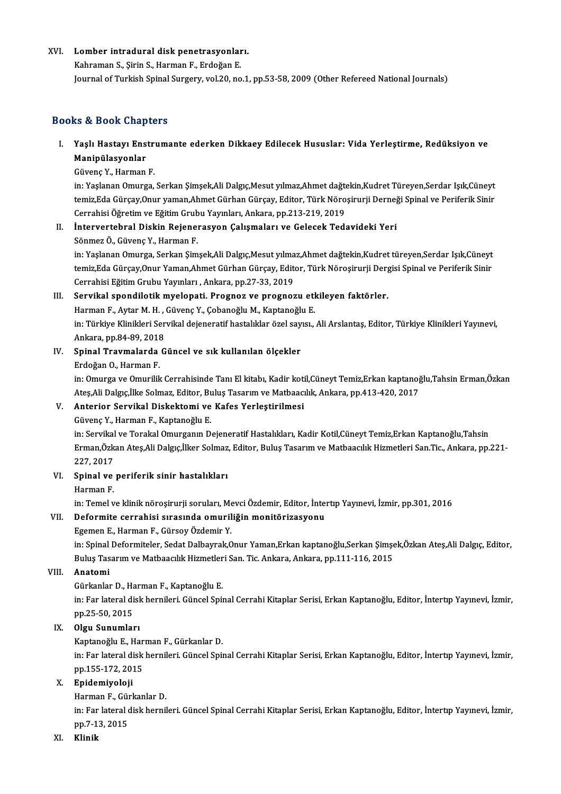# XVI.<br>1998 - Komber intradural disk penetrasyonları.<br>1998 - Kohraman S. Sirin S. Harman E. Erdeğan E. Lomber intradural disk penetrasyonlar<br>Kahraman S., Şirin S., Harman F., Erdoğan E.<br>Journal of Turkich Spinal Surgery, vol 20, no

Kahraman S., Șirin S., Harman F., Erdoğan E.<br>Journal of Turkish Spinal Surgery, vol.20, no.1, pp.53-58, 2009 (Other Refereed National Journals)

### Books&Book Chapters

ooks & Book Chapters<br>I. Yaşlı Hastayı Enstrumante ederken Dikkaey Edilecek Hususlar: Vida Yerleştirme, Redüksiyon ve<br>Maninülasyonlar na 2001 unap<br>Yaşlı Hastayı Ens<br>Manipülasyonlar Yaşlı Hastayı Enstr<br>Manipülasyonlar<br>Güvenç Y., Harman F.<br>in: Yaslanan Omurga

**Manipülasyonlar**<br>Güvenç Y., Harman F.<br>in: Yaşlanan Omurga, Serkan Şimşek,Ali Dalgıç,Mesut yılmaz,Ahmet dağtekin,Kudret Türeyen,Serdar Işık,Cüneyt Güvenç Y., Harman F.<br>in: Yaşlanan Omurga, Serkan Şimşek,Ali Dalgıç,Mesut yılmaz,Ahmet dağtekin,Kudret Türeyen,Serdar Işık,Cüneyt<br>temiz,Eda Gürçay,Onur yaman,Ahmet Gürhan Gürçay, Editor, Türk Nöroşirurji Derneği Spinal ve P in: Yaşlanan Omurga, Serkan Şimşek,Ali Dalgıç,Mesut yılmaz,Ahmet dağtı<br>temiz,Eda Gürçay,Onur yaman,Ahmet Gürhan Gürçay, Editor, Türk Nöro<br>Cerrahisi Öğretim ve Eğitim Grubu Yayınları, Ankara, pp.213-219, 2019<br>İnterventehnel temiz,Eda Gürçay,Onur yaman,Ahmet Gürhan Gürçay, Editor, Türk Nöroşirurji Derneğ<br>Cerrahisi Öğretim ve Eğitim Grubu Yayınları, Ankara, pp.213-219, 2019<br>II. İntervertebral Diskin Rejenerasyon Çalışmaları ve Gelecek Tedavidek

# Cerrahisi Öğretim ve Eğitim Grubu Yayınları, Ankara, pp.213-219, 2019<br>II. İntervertebral Diskin Rejenerasyon Çalışmaları ve Gelecek Tedavideki Yeri<br>Sönmez Ö., Güvenç Y., Harman F.

İntervertebral Diskin Rejenerasyon Çalışmaları ve Gelecek Tedavideki Yeri<br>Sönmez Ö., Güvenç Y., Harman F.<br>in: Yaşlanan Omurga, Serkan Şimşek,Ali Dalgıç,Mesut yılmaz,Ahmet dağtekin,Kudret türeyen,Serdar Işık,Cüneyt<br>temir Ed Sönmez Ö., Güvenç Y., Harman F.<br>in: Yaşlanan Omurga, Serkan Şimşek,Ali Dalgıç,Mesut yılmaz,Ahmet dağtekin,Kudret türeyen,Serdar Işık,Cüneyt<br>temiz,Eda Gürçay,Onur Yaman,Ahmet Gürhan Gürçay, Editor, Türk Nöroşirurji Dergisi in: Yaşlanan Omurga, Serkan Şimşek,Ali Dalgıç,Mesut yılma<br>temiz,Eda Gürçay,Onur Yaman,Ahmet Gürhan Gürçay, Edit<br>Cerrahisi Eğitim Grubu Yayınları , Ankara, pp.27-33, 2019<br>Servikal apandilatik muslanati, Prasnas ve prasnas temiz,Eda Gürçay,Onur Yaman,Ahmet Gürhan Gürçay, Editor, Türk Nöroşirurji Dergisi Spinal ve Periferik Sinir<br>Cerrahisi Eğitim Grubu Yayınları , Ankara, pp.27-33, 2019<br>III. Servikal spondilotik myelopati. Prognoz ve prognozu Cerrahisi Eğitim Grubu Yayınları , Ankara, pp.27-33, 2019<br>Servikal spondilotik myelopati. Prognoz ve prognozu etl<br>Harman F., Aytar M. H. , Güvenç Y., Çobanoğlu M., Kaptanoğlu E.<br>in: Türkiye Klinikleri Servikal dejeneratif

Servikal spondilotik myelopati. Prognoz ve prognozu etkileyen faktörler.<br>Harman F., Aytar M. H. , Güvenç Y., Çobanoğlu M., Kaptanoğlu E.<br>in: Türkiye Klinikleri Servikal dejeneratif hastalıklar özel sayısı., Ali Arslantaş, Harman F., Aytar M. H. ,<br>in: Türkiye Klinikleri Ser<br>Ankara, pp.84-89, 2018<br>Sninal Traumalarda G in: Türkiye Klinikleri Servikal dejeneratif hastalıklar özel say<br>Ankara, pp.84-89, 2018<br>IV. Spinal Travmalarda Güncel ve sık kullanılan ölçekler<br>Frdoğan O. Harman F

# Ankara, pp.84-89, 2018<br><mark>Spinal Travmalarda</mark><br>Erdoğan O., Harman F.<br>in: Omurga ve Omuriki

Spinal Travmalarda Güncel ve sık kullanılan ölçekler<br>Erdoğan O., Harman F.<br>in: Omurga ve Omurilik Cerrahisinde Tanı El kitabı, Kadir kotil,Cüneyt Temiz,Erkan kaptanoğlu,Tahsin Erman,Özkan<br>Ates Ali Dalgıs İlke Salmaz, Edita Erdoğan O., Harman F.<br>in: Omurga ve Omurilik Cerrahisinde Tanı El kitabı, Kadir kotil,Cüneyt Temiz,Erkan kaptanoğ<br>Ateş,Ali Dalgıç,İlke Solmaz, Editor, Buluş Tasarım ve Matbaacılık, Ankara, pp.413-420, 2017<br>Anteriar Servika in: Omurga ve Omurilik Cerrahisinde Tanı El kitabı, Kadir koti<br>Ateş,Ali Dalgıç,İlke Solmaz, Editor, Buluş Tasarım ve Matbaacı<br>V. Anterior Servikal Diskektomi ve Kafes Yerleştirilmesi<br>Güyana V. Harman E. Kaptanağlu E Ateş,Ali Dalgıç,İlke Solmaz, Editor, Bu<br>**Anterior Servikal Diskektomi ve**<br>Güvenç Y., Harman F., Kaptanoğlu E.<br>in: Servikal ve Terakal Omurganın D.

Güvenç Y., Harman F., Kaptanoğlu E.<br>in: Servikal ve Torakal Omurganın Dejeneratif Hastalıkları, Kadir Kotil,Cüneyt Temiz,Erkan Kaptanoğlu,Tahsin Güvenç Y., Harman F., Kaptanoğlu E.<br>in: Servikal ve Torakal Omurganın Dejeneratif Hastalıkları, Kadir Kotil,Cüneyt Temiz,Erkan Kaptanoğlu,Tahsin<br>Erman,Özkan Ateş,Ali Dalgıç,İlker Solmaz, Editor, Buluş Tasarım ve Matbaacılı in: Servikal<br>Erman,Özk<br>227, 2017<br>Sninel ve Erman,Özkan Ateş,Ali Dalgıç,İlker Solmaz<br>227, 2017<br>VI. Spinal ve periferik sinir hastalıkları<br>Hanman E 227, 2017<br>Spinal ve<br>Harman F.<br>in: Tomal v

Harman F.<br>in: Temel ve klinik nöroşirurji soruları, Mevci Özdemir, Editor, İntertıp Yayınevi, İzmir, pp.301, 2016

### VII. Deformite cerrahisi sırasında omuriliğin monitörizasyonu

Egemen E., Harman F., Gürsoy Özdemir Y.

in: Spinal Deformiteler, Sedat Dalbayrak,Onur Yaman,Erkan kaptanoğlu,Serkan Şimşek,Özkan Ateş,Ali Dalgıç, Editor, Egemen E., Harman F., Gürsoy Özdemir Y.<br>in: Spinal Deformiteler, Sedat Dalbayrak,Onur Yaman,Erkan kaptanoğlu,Serkan Şimşe<br>Buluş Tasarım ve Matbaacılık Hizmetleri San. Tic. Ankara, Ankara, pp.111-116, 2015<br>Anatomi Buluş Tasarım ve Matbaacılık Hizmetler<br><mark>Anatomi</mark><br>Gürkanlar D., Harman F., Kaptanoğlu E.<br>in: Ear lataral disk barnileri, Cüncel Sniı

VIII. Anatomi<br>Gürkanlar D., Harman F., Kaptanoğlu E.

Anatomi<br>Gürkanlar D., Harman F., Kaptanoğlu E.<br>in: Far lateral disk hernileri. Güncel Spinal Cerrahi Kitaplar Serisi, Erkan Kaptanoğlu, Editor, İntertıp Yayınevi, İzmir,<br>nn 25 50, 2015 Gürkanlar D., Ha<br>in: Far lateral di<br>pp.25-50, 2015<br>Olau Sunumlar

# pp.25-50, 2015<br>IX. **Olgu Sunumları**

KaptanoğluE.,HarmanF.,GürkanlarD.

Olgu Sunumları<br>Kaptanoğlu E., Harman F., Gürkanlar D.<br>in: Far lateral disk hernileri. Güncel Spinal Cerrahi Kitaplar Serisi, Erkan Kaptanoğlu, Editor, İntertıp Yayınevi, İzmir,<br>nn 155,172, 2015 Kaptanoğlu E., Har<br>in: Far lateral disk<br>pp.155-172, 2015<br>Enidemiyeleji

## pp.155-172, 2015<br>X. Epidemiyoloji

Harman F., Gürkanlar D.

**Epidemiyoloji**<br>Harman F., Gürkanlar D.<br>in: Far lateral disk hernileri. Güncel Spinal Cerrahi Kitaplar Serisi, Erkan Kaptanoğlu, Editor, İntertıp Yayınevi, İzmir,<br>nn 7,13,2015 Harman F., Gü<mark>ı</mark><br>in: Far lateral q<br>pp.7-13, 2015<br>Klinik pp 7-13, 2015<br>XI. Klinik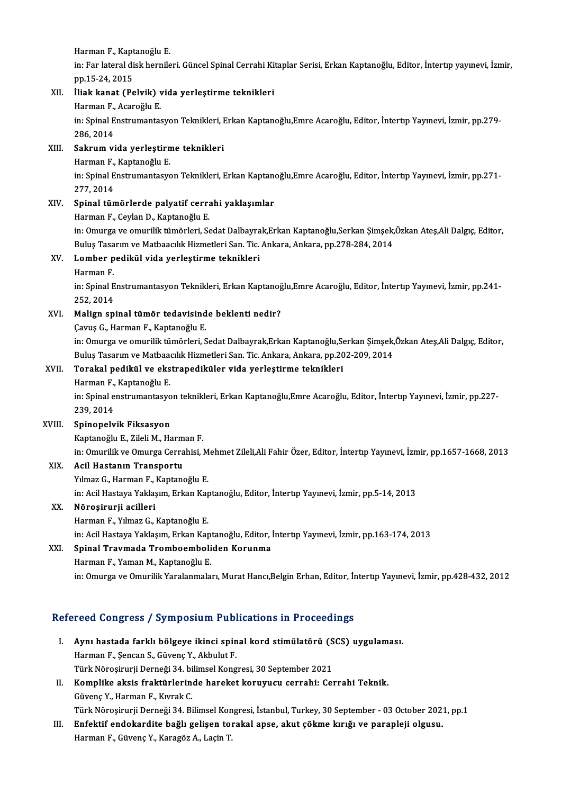**Harman F., Kaptanoğlu E.<br>Harman F., Kaptanoğlu E.**<br>in: Ean latenal diek bernile

in: Far lateral disk hernileri. Güncel Spinal Cerrahi Kitaplar Serisi, Erkan Kaptanoğlu, Editor, İntertıp yayınevi, İzmir,<br>pp.15-24, 2015 Harman F., Kapt<br>in: Far lateral di<br>pp.15-24, 2015<br>iliak kanat (Be in: Far lateral disk hernileri. Güncel Spinal Cerrahi Ki<br>pp.15-24, 2015<br>XII. İliak kanat (Pelvik) vida yerleştirme teknikleri<br>Hanman E. Asarağlu E

# pp.15-24, 2015<br>İli<mark>ak kanat (Pelvik) v</mark><br>Harman F., Acaroğlu E.<br>in: Spinal Enstrumantas

Harman F., Acaroğlu E.

in: Spinal Enstrumantasyon Teknikleri, Erkan Kaptanoğlu,Emre Acaroğlu, Editor, İntertıp Yayınevi, İzmir, pp.279-<br>286, 2014 in: Spinal Enstrumantasyon Teknikleri, I<br>286, 2014<br>XIII. Sakrum vida yerleştirme teknikleri<br>Harman E. Kantanoğlu E

# 286, 2014<br><mark>Sakrum vida yerleştirn</mark><br>Harman F., Kaptanoğlu E.<br>in: Spinal Enstrumantasıs

Sakrum vida yerleştirme teknikleri<br>Harman F., Kaptanoğlu E.<br>in: Spinal Enstrumantasyon Teknikleri, Erkan Kaptanoğlu,Emre Acaroğlu, Editor, İntertıp Yayınevi, İzmir, pp.271-Harman F.,<br>in: Spinal E<br>277, 2014<br>Spinal tün

# XIV. Spinal tümörlerde palyatif cerrahi yaklaşımlar

HarmanF.,CeylanD.,KaptanoğluE.

Spinal tümörlerde palyatif cerrahi yaklaşımlar<br>Harman F., Ceylan D., Kaptanoğlu E.<br>in: Omurga ve omurilik tümörleri, Sedat Dalbayrak,Erkan Kaptanoğlu,Serkan Şimşek,Özkan Ateş,Ali Dalgıç, Editor, Harman F., Ceylan D., Kaptanoğlu E.<br>in: Omurga ve omurilik tümörleri, Sedat Dalbayrak,Erkan Kaptanoğlu,Serkan Şimşek,<br>Buluş Tasarım ve Matbaacılık Hizmetleri San. Tic. Ankara, Ankara, pp.278-284, 2014<br>Lambar padiltül vida Buluş Tasarım ve Matbaacılık Hizmetleri San. Tic. Ankara, Ankara, pp.278-284, 2014

## XV. Lomber pedikül vida yerleştirme teknikleri

Lomber pedikül vida yerleştirme teknikleri<br>Harman F.<br>in: Spinal Enstrumantasyon Teknikleri, Erkan Kaptanoğlu,Emre Acaroğlu, Editor, İntertıp Yayınevi, İzmir, pp.241-Harman F.<br>in: Spinal E<br>252, 2014<br>Malian an in: Spinal Enstrumantasyon Teknikleri, Erkan Kaptanoğ<br>252, 2014<br>XVI. Malign spinal tümör tedavisinde beklenti nedir?<br>Carue C. Harman E. Kaptanoğlu E 252, 2014<br>Malign spinal tümör tedavisind<br>Çavuş G., Harman F., Kaptanoğlu E.<br>in: Omurga ve omurilik tümörleri. S

Çavuş G., Harman F., Kaptanoğlu E.<br>in: Omurga ve omurilik tümörleri, Sedat Dalbayrak,Erkan Kaptanoğlu,Serkan Şimşek,Özkan Ateş,Ali Dalgıç, Editor, Çavuş G., Harman F., Kaptanoğlu E.<br>in: Omurga ve omurilik tümörleri, Sedat Dalbayrak,Erkan Kaptanoğlu,Serkan Şimşek,<br>Buluş Tasarım ve Matbaacılık Hizmetleri San. Tic. Ankara, Ankara, pp.202-209, 2014<br>Tenakal podikül ve eks in: Omurga ve omurilik tümörleri, Sedat Dalbayrak,Erkan Kaptanoğlu,Se<br>Buluş Tasarım ve Matbaacılık Hizmetleri San. Tic. Ankara, Ankara, pp.20<br>XVII. Torakal pedikül ve ekstrapediküler vida yerleştirme teknikleri<br>Harman Buluş Tasarım ve Matbaa<br><mark>Torakal pedikül ve eks</mark><br>Harman F., Kaptanoğlu E.<br>in: Spinal onstrumantasys

Torakal pedikül ve ekstrapediküler vida yerleştirme teknikleri<br>Harman F., Kaptanoğlu E.<br>in: Spinal enstrumantasyon teknikleri, Erkan Kaptanoğlu,Emre Acaroğlu, Editor, İntertıp Yayınevi, İzmir, pp.227-Harman F.,<br>in: Spinal e<br>239, 2014<br>Sninonoly

## 239, 2014<br>XVIII. Spinopelvik Fiksasyon

Kaptanoğlu E., Zileli M., Harman F.

Spinopelvik Fiksasyon<br>Kaptanoğlu E., Zileli M., Harman F.<br>in: Omurilik ve Omurga Cerrahisi, Mehmet Zileli,Ali Fahir Özer, Editor, İntertıp Yayınevi, İzmir, pp.1657-1668, 2013<br>Asil Hastanın Transportu in: Omurilik ve Omurga Cerrahisi, M<br><mark>Acil Hastanın Transportu</mark><br>Yılmaz G., Harman F., Kaptanoğlu E.<br>in: Acil Hastava Yaklasım, Erkan Kar

XIX. Acil Hastanın Transportu

Acil Hastanın Transportu<br>Yılmaz G., Harman F., Kaptanoğlu E.<br>in: Acil Hastaya Yaklaşım, Erkan Kaptanoğlu, Editor, İntertıp Yayınevi, İzmir, pp.5-14, 2013<br>Nönosinunii asilleni

XX. Nöroşirurji acilleri<br>Harman F., Yılmaz G., Kaptanoğlu E. in: Acil Hastaya Yaklaşım, Erkan Kap<br>**Nöroşirurji acilleri**<br>Harman F., Yılmaz G., Kaptanoğlu E.<br>in: Asil Hastaya Yaklasım, Erkan Kar in:AcilHastayaYaklaşım,ErkanKaptanoğlu,Editor, İntertıpYayınevi, İzmir,pp.163-174,2013

## XXI. Spinal Travmada Tromboemboliden Korunma

Harman F., Yaman M., Kaptanoğlu E. in: Omurga ve Omurilik Yaralanmaları, Murat Hancı,Belgin Erhan, Editor, İntertip Yayınevi, İzmir, pp.428-432, 2012

## Refereed Congress / Symposium Publications in Proceedings

- efereed Congress / Symposium Publications in Proceedings<br>I. Aynı hastada farklı bölgeye ikinci spinal kord stimülatörü (SCS) uygulaması.<br>Harman E. Sansan S. Güyane V. Althulut E. Harman F., Şencan S., Güvenç Y., Akbulut F.<br>Harman F., Şencan S., Güvenç Y., Akbulut F.<br>Türk Nörocirurii Derneği 24, bilimsel Kong Aynı hastada farklı bölgeye ikinci spinal kord stimülatörü (S<br>Harman F., Şencan S., Güvenç Y., Akbulut F.<br>Türk Nöroşirurji Derneği 34. bilimsel Kongresi, 30 September 2021<br>Komnlike eksis fraktürlerinde baraket konuvusu sen Harman F., Şencan S., Güvenç Y., Akbulut F.<br>Türk Nöroşirurji Derneği 34. bilimsel Kongresi, 30 September 2021<br>II. Komplike aksis fraktürlerinde hareket koruyucu cerrahi: Cerrahi Teknik.<br>Güyane Y. Harman E. Kumek G.
- Türk Nöroşirurji Derneği 34. bi<br><mark>Komplike aksis fraktürlerin</mark><br>Güvenç Y., Harman F., Kıvrak C.<br>Türk Nörosinurji Derneği 34. Bi Komplike aksis fraktürlerinde hareket koruyucu cerrahi: Cerrahi Teknik.<br>Güvenç Y., Harman F., Kıvrak C.<br>Türk Nöroşirurji Derneği 34. Bilimsel Kongresi, İstanbul, Turkey, 30 September - 03 October 2021, pp.1<br>Enfektif andeka

Güvenç Y., Harman F., Kıvrak C.<br>I I. Enfektif endokardite bağlı gelişen torakal apse, akut çökme kırığı ve parapleji olgusu.<br>III. Enfektif endokardite bağlı gelişen torakal apse, akut çökme kırığı ve parapleji olgusu.<br>Hanm Türk Nöroşirurji Derneği 34. Bilimsel Kon<br><mark>Enfektif endokardite bağlı gelişen to</mark>ı<br>Harman F., Güvenç Y., Karagöz A., Laçin T.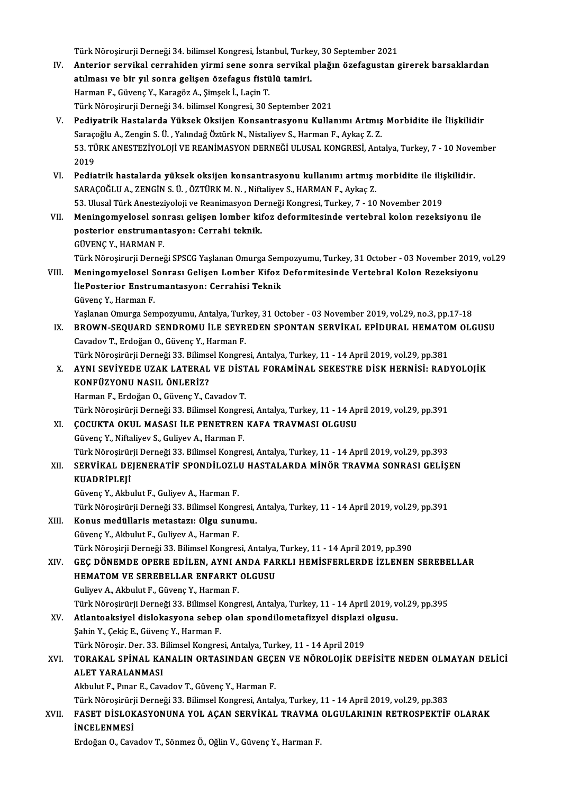Türk Nöroşirurji Derneği 34. bilimsel Kongresi, İstanbul, Turkey, 30 September 2021<br>Anteriar servikel serrebiden yürmi sene senre servikel pleğun önefegyeten s

- IV. Anterior servikal cerrahiden yirmi sene sonra servikal plağın özefagustan girerek barsaklardan Türk Nöroşirurji Derneği 34. bilimsel Kongresi, İstanbul, Turke<br>Anterior servikal cerrahiden yirmi sene sonra servikal<br>atılması ve bir yıl sonra gelişen özefagus fistülü tamiri.<br>Harman E. Güyane V. Karagör A. Simsek İ. Les HarmanF.,GüvençY.,KaragözA.,Şimşekİ.,LaçinT. Türk Nöroşirurji Derneği 34. bilimsel Kongresi, 30 September 2021
- V. Pediyatrik Hastalarda Yüksek Oksijen Konsantrasyonu Kullanımı Artmış Morbidite ile İlişkilidir Türk Nöroşirurji Derneği 34. bilimsel Kongresi, 30 September 2021<br><mark>Pediyatrik Hastalarda Yüksek Oksijen Konsantrasyonu Kullanımı Artmış</mark><br>Saraçoğlu A., Zengin S. Ü. , Yalındağ Öztürk N., Nistaliyev S., Harman F., Aykaç Z. Z 53. TÜRK ANESTEZİYOLOJİ VE REANİMASYON DERNEĞİ ULUSAL KONGRESİ, Antalya, Turkey, 7 - 10 November<br>2019 Saraço<br>53. TÜ<br>2019 53. TÜRK ANESTEZİYOLOJİ VE REANİMASYON DERNEĞİ ULUSAL KONGRESİ, Antalya, Turkey, 7 - 10 Nove<br>2019<br>VI. Pediatrik hastalarda yüksek oksijen konsantrasyonu kullanımı artmış morbidite ile ilişkilidir.<br>SARAÇQĞLUA, ZENÇİN S Ü. Ö
- 2019<br>Pediatrik hastalarda yüksek oksijen konsantrasyonu kullanımı artmış ı<br>SARAÇOĞLU A., ZENGİN S. Ü. , ÖZTÜRK M. N. , Niftaliyev S., HARMAN F., Aykaç Z.<br>52. Ulucal Türk Anesteriyeleji ve Beanimesyon Derneği Konsresi Turka Pediatrik hastalarda yüksek oksijen konsantrasyonu kullanımı artmış morbidite ile iliş<br>SARAÇOĞLU A., ZENGİN S. Ü. , ÖZTÜRK M. N. , Niftaliyev S., HARMAN F., Aykaç Z.<br>53. Ulusal Türk Anesteziyoloji ve Reanimasyon Derneği Ko SARAÇOĞLU A., ZENGİN S. Ü. , ÖZTÜRK M. N. , Niftaliyev S., HARMAN F., Aykaç Z.<br>53. Ulusal Türk Anesteziyoloji ve Reanimasyon Derneği Kongresi, Turkey, 7 - 10 November 2019<br>VII. Meningomyelosel sonrası gelişen lomber ki
- 53. Ulusal Türk Anesteziyoloji ve Reanimasyon De<br>Meningomyelosel sonrası gelişen lomber kil<br>posterior enstrumantasyon: Cerrahi teknik.<br>CÜVENC V. HAPMAN E Meningomyelosel son<br>posterior enstrumant<br>GÜVENÇ Y., HARMAN F.<br>Türk Nänesinurii Dernei GÜVENÇ Y., HARMAN F.<br>Türk Nöroşirurji Derneği SPSCG Yaşlanan Omurga Sempozyumu, Turkey, 31 October - 03 November 2019, vol.29

GÜVENÇ Y., HARMAN F.<br>Türk Nöroşirurji Derneği SPSCG Yaşlanan Omurga Sempozyumu, Turkey, 31 October - 03 November 2019,<br>VIII. Meningomyelosel Sonrası Gelişen Lomber Kifoz Deformitesinde Vertebral Kolon Rezeksiyonu<br>İlaBester Türk Nöroşirurji Derneği SPSCG Yaşlanan Omurga Sem<br>Meningomyelosel Sonrası Gelişen Lomber Kifoz<br>İlePosterior Enstrumantasyon: Cerrahisi Teknik<br>Güyene V. Harman E İlePosterior Enstrumantasyon: Cerrahisi Teknik<br>Güvenç Y., Harman F. İlePosterior Enstrumantasyon: Cerrahisi Teknik<br>Güvenç Y., Harman F.<br>Yaşlanan Omurga Sempozyumu, Antalya, Turkey, 31 October - 03 November 2019, vol.29, no.3, pp.17-18<br>PROWN SEQUARD SENDROMU İLE SEVREDEN SRONTAN SERVİKAL ER

IX. BROWN-SEQUARD SENDROMU İLE SEYREDEN SPONTAN SERVİKAL EPİDURAL HEMATOM OLGUSU<br>Cavadov T., Erdoğan O., Güvenç Y., Harman F. Yaşlanan Omurga Sempozyumu, Antalya, Turl<br><mark>BROWN-SEQUARD SENDROMU İLE SEYR</mark><br>Cavadov T., Erdoğan O., Güvenç Y., Harman F.<br>Türk Nörosirürü Derneği 33. Bilimsel Kongre

BROWN-SEQUARD SENDROMU İLE SEYREDEN SPONTAN SERVİKAL EPİDURAL HEMATO!<br>Cavadov T., Erdoğan O., Güvenç Y., Harman F.<br>Türk Nöroşirürji Derneği 33. Bilimsel Kongresi, Antalya, Turkey, 11 - 14 April 2019, vol.29, pp.381<br>AVNI SE

Cavadov T., Erdoğan O., Güvenç Y., Harman F.<br>Türk Nöroşirürji Derneği 33. Bilimsel Kongresi, Antalya, Turkey, 11 - 14 April 2019, vol.29, pp.381<br>X. AYNI SEVİYEDE UZAK LATERAL VE DİSTAL FORAMİNAL SEKESTRE DİSK HERNİSİ: Türk Nöroşirürji Derneği 33. Bilims<br>AYNI SEVİYEDE UZAK LATERAL<br>KONFÜZYONU NASIL ÖNLERİZ?<br>Harman E. Erdeğan O. Güyene V. G AYNI S<mark>EVİYEDE UZAK LATERAL VE DİST<br>KONFÜZYONU NASIL ÖNLERİZ?<br>Harman F., Erdoğan O., Güvenç Y., Cavadov T.<br>Türk Nörocirürü Dorneği 33. Bilimsel Kongre</mark> KONFÜZYONU NASIL ÖNLERİZ?<br>Harman F., Erdoğan O., Güvenç Y., Cavadov T.<br>Türk Nörosirürji Derneği 33. Bilimsel Kongresi, Antalya, Turkey, 11 - 14 April 2019, vol.29, pp.391

XI. ÇOCUKTA OKUL MASASI İLE PENETREN KAFA TRAVMASI OLGUSU GüvençY.,Niftaliyev S.,GuliyevA.,HarmanF. COCUKTA OKUL MASASI İLE PENETREN KAFA TRAVMASI OLGUSU<br>Güvenç Y., Niftaliyev S., Guliyev A., Harman F.<br>Türk Nöroşirürji Derneği 33. Bilimsel Kongresi, Antalya, Turkey, 11 - 14 April 2019, vol.29, pp.393<br>SERVİKAL DEJENERATİE

XII. SERVİKAL DEJENERATİF SPONDİLOZLU HASTALARDA MİNÖR TRAVMA SONRASI GELİŞEN<br>KUADRİPLEJİ Türk Nöroşirür<br><mark>SERVİKAL DE</mark><br>KUADRİPLEJİ<br>Cüyene V. Alth

GüvençY.,AkbulutF.,GuliyevA.,HarmanF. KUADRİPLEJİ<br>Güvenç Y., Akbulut F., Guliyev A., Harman F.<br>Türk Nöroşirürji Derneği 33. Bilimsel Kongresi, Antalya, Turkey, 11 - 14 April 2019, vol.29, pp.391<br>Konus medülleris metastaru. Olsu sunumu Güvenç Y., Akbulut F., Guliyev A., Harman F.<br>Türk Nöroşirürji Derneği 33. Bilimsel Kongresi, .<br>XIII. Konus medüllaris metastazı: Olgu sunumu.<br>Güvene Y. Althulut E. Guliyev A. Harman E.

Türk Nöroşirürji Derneği 33. Bilimsel Kongı<br><mark>Konus medüllaris metastazı: Olgu sun</mark>u<br>Güvenç Y., Akbulut F., Guliyev A., Harman F.<br>Türk Nörosirii Derneği 32. Bilimsel Kongres Konus medüllaris metastazı: Olgu sunumu.<br>Güvenç Y., Akbulut F., Guliyev A., Harman F.<br>Türk Nöroşirji Derneği 33. Bilimsel Kongresi, Antalya, Turkey, 11 - 14 April 2019, pp.390

Güvenç Y., Akbulut F., Guliyev A., Harman F.<br>Türk Nöroşirji Derneği 33. Bilimsel Kongresi, Antalya, Turkey, 11 - 14 April 2019, pp.390<br>XIV. GEÇ DÖNEMDE OPERE EDİLEN, AYNI ANDA FARKLI HEMİSFERLERDE İZLENEN SEREBELLAR<br>HE Türk Nöroşirji Derneği 33. Bilimsel Kongresi, Antalya,<br>GEÇ DÖNEMDE OPERE EDİLEN, AYNI ANDA FAF<br>HEMATOM VE SEREBELLAR ENFARKT OLGUSU<br>Culivey A. Akbulut E. Güyene V. Harman E GEÇ DÖNEMDE OPERE EDİLEN, AYNI A<br>HEMATOM VE SEREBELLAR ENFARKT<br>Guliyev A., Akbulut F., Güvenç Y., Harman F.<br>Türk Nörosirürü Derneği 33, Bilimsel Konsu HEMATOM VE SEREBELLAR ENFARKT OLGUSU<br>Guliyev A., Akbulut F., Güvenç Y., Harman F.<br>Türk Nöroşirürji Derneği 33. Bilimsel Kongresi, Antalya, Turkey, 11 - 14 April 2019, vol.29, pp.395<br>Atlantseltsiyel dislekseyene seben elen

Guliyev A., Akbulut F., Güvenç Y., Harman F.<br>Türk Nöroşirürji Derneği 33. Bilimsel Kongresi, Antalya, Turkey, 11 - 14 April 2019, v<br>XV. Atlantoaksiyel dislokasyona sebep olan spondilometafizyel displazi olgusu.<br>Sebin Y Türk Nöroşirürji Derneği 33. Bilimsel K<br><mark>Atlantoaksiyel dislokasyona sebep</mark><br>Şahin Y., Çekiç E., Güvenç Y., Harman F.<br>Türk Nörosin Der, <sup>22.</sup> Bilimsel Kongres Atlantoaksiyel dislokasyona sebep olan spondilometafizyel displazi<br>Şahin Y., Çekiç E., Güvenç Y., Harman F.<br>Türk Nöroşir. Der. 33. Bilimsel Kongresi, Antalya, Turkey, 11 - 14 April 2019<br>TORAKAL SRİNAL KANALIN ORTASINDAN GE

## Şahin Y., Çekiç E., Güvenç Y., Harman F.<br>Türk Nöroşir. Der. 33. Bilimsel Kongresi, Antalya, Turkey, 11 - 14 April 2019<br>XVI. TORAKAL SPİNAL KANALIN ORTASINDAN GEÇEN VE NÖROLOJİK DEFİSİTE NEDEN OLMAYAN DELİCİ Türk Nöroşir. Der. 33. Bilimsel Kongresi, Antalya, Turkey, 11 - 14 April 2019<br>TORAKAL SPİNAL KANALIN ORTASINDAN GEÇEN VE NÖROLOJİK DE<br>ALET YARALANMASI<br>Akbulut F., Pınar E., Cavadov T., Güvenç Y., Harman F. TORAKAL SPİNAL KANALIN ORTASINDAN GEÇE<br>ALET YARALANMASI<br>Akbulut F., Pınar E., Cavadov T., Güvenç Y., Harman F.<br>Türk Nörocirürü Derneği 22, Bilimaal Kangrasi, Antal AL<mark>ET YARALANMASI</mark><br>Akbulut F., Pınar E., Cavadov T., Güvenç Y., Harman F.<br>Türk Nöroşirürji Derneği 33. Bilimsel Kongresi, Antalya, Turkey, 11 - 14 April 2019, vol.29, pp.383<br>EASET DİSLOKASYONUNA YOL ACAN SERVİKAL TRAVMA OL

## XVII. FASET DİSLOKASYONUNA YOL AÇAN SERVİKAL TRAVMA OLGULARININ RETROSPEKTİF OLARAK<br>İNCELENMESİ Türk Nöroşirürj<br>FASET DİSLOK<br>İNCELENMESİ

Erdoğan O., Cavadov T., Sönmez Ö., Oğlin V., Güvenç Y., Harman F.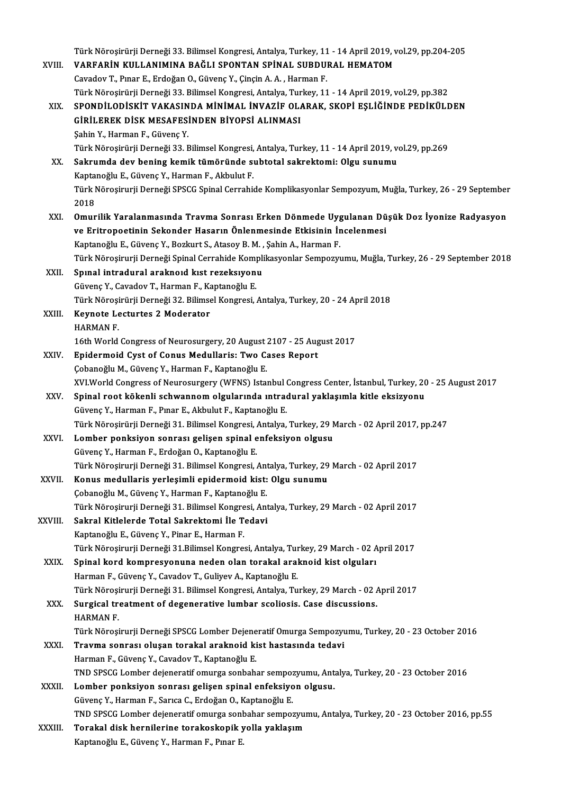Türk Nöroşirürji Derneği 33. Bilimsel Kongresi, Antalya, Turkey, 11 - 14 April 2019, vol.29, pp.204-205<br>VAREARİN KULLANIMINA RAĞLI SPONTAN SRİNAL, SURDURAL HEMATOM Türk Nöroşirürji Derneği 33. Bilimsel Kongresi, Antalya, Turkey, 11 - 14 April 2019, v<br>XVIII. VARFARİN KULLANIMINA BAĞLI SPONTAN SPİNAL SUBDURAL HEMATOM Türk Nöroşirürji Derneği 33. Bilimsel Kongresi, Antalya, Turkey, 11<br>VARFARİN KULLANIMINA BAĞLI SPONTAN SPİNAL SUBDU!<br>Cavadov T., Pınar E., Erdoğan O., Güvenç Y., Çinçin A. A. , Harman F.<br>Türk Nörosirürü Derneği 33. Bilimse VARFARİN KULLANIMINA BAĞLI SPONTAN SPİNAL SUBDURAL HEMATOM<br>Cavadov T., Pınar E., Erdoğan O., Güvenç Y., Çinçin A. A. , Harman F.<br>Türk Nöroşirürji Derneği 33. Bilimsel Kongresi, Antalya, Turkey, 11 - 14 April 2019, vol.29, Cavadov T., Pınar E., Erdoğan O., Güvenç Y., Çinçin A. A. , Harman F.<br>Türk Nöroşirürji Derneği 33. Bilimsel Kongresi, Antalya, Turkey, 11 - 14 April 2019, vol.29, pp.382<br>XIX. SPONDİLODİSKİT VAKASINDA MİNİMAL İNVAZİF OLARAK Türk Nöroşirürji Derneği 33. Bilimsel Kongresi, Antalya, Tur<br>SPONDİLODİSKİT VAKASINDA MİNİMAL İNVAZİF OL*I*<br>GİRİLEREK DİSK MESAFESİNDEN BİYOPSİ ALINMASI<br>Sabin V. Harman E. Güyang V SPONDİLODİSKİT VAKASIN<br>GİRİLEREK DİSK MESAFESİ<br>Şahin Y., Harman F., Güvenç Y.<br>Türk Nöresirürü Derneği 22, E GİRİLEREK DİSK MESAFESİNDEN BİYOPSİ ALINMASI<br>Şahin Y., Harman F., Güvenç Y.<br>Türk Nöroşirürji Derneği 33. Bilimsel Kongresi, Antalya, Turkey, 11 - 14 April 2019, vol.29, pp.269 Şahin Y., Harman F., Güvenç Y.<br>Türk Nöroşirürji Derneği 33. Bilimsel Kongresi, Antalya, Turkey, 11 - 14 April 2019, v.<br>XX. Sakrumda dev bening kemik tümöründe subtotal sakrektomi: Olgu sunumu<br>Kantanoğlu E. Güyene V. Harman Türk Nöroşirürji Derneği 33. Bilimsel Kongresi,<br>S<mark>akrumda dev bening kemik tümöründe</mark> sı<br>Kaptanoğlu E., Güvenç Y., Harman F., Akbulut F.<br>Türk Nörosirurii Derneği SBSCC Spinal Cerrebis Türk Nöroşirurji Derneği SPSCG Spinal Cerrahide Komplikasyonlar Sempozyum, Muğla, Turkey, 26 - 29 September<br>2018 Kaptanoğlu E., Güvenç Y., Harman F., Akbulut F. XXI. Omurilik Yaralanmasında Travma Sonrası Erken Dönmede Uygulanan Düşük Doz İyonize Radyasyon 2018<br>Omurilik Yaralanmasında Travma Sonrası Erken Dönmede Uygulanan Dü<br>ve Eritropoetinin Sekonder Hasarın Önlenmesinde Etkisinin İncelenmesi<br>Kantapoğlu E. Güyens Y. Barluut S. Atasay B.M., Sabin A. Harman E. Omurilik Yaralanmasında Travma Sonrası Erken Dönmede Uyg<br>ve Eritropoetinin Sekonder Hasarın Önlenmesinde Etkisinin İr<br>Kaptanoğlu E., Güvenç Y., Bozkurt S., Atasoy B. M. , Şahin A., Harman F.<br>Türk Nörosinurii Derneği Spinal ve Eritropoetinin Sekonder Hasarın Önlenmesinde Etkisinin İncelenmesi<br>Kaptanoğlu E., Güvenç Y., Bozkurt S., Atasoy B. M. , Şahin A., Harman F.<br>Türk Nöroşirurji Derneği Spinal Cerrahide Komplikasyonlar Sempozyumu, Muğla, Tu Kaptanoğlu E., Güvenç Y., Bozkurt S., Atasoy B. M. , Şahin A., Harman F.<br>Türk Nöroşirurji Derneği Spinal Cerrahide Komplikasyonlar Sempozyu<br>XXII. Spınal intradural araknoıd kıst rezeksıyonu<br>Güvenc Y., Cavadov T., Harman F. Türk Nöroşirurji Derneği Spinal Cerrahide Kom<mark><br>Spınal intradural araknoıd kıst rezeksıyon</mark><br>Güvenç Y., Cavadov T., Harman F., Kaptanoğlu E.<br>Türk Nörosirürü Derneği 22, Bilimasl Kongresi Spınal intradural araknoıd kıst rezeksıyonu<br>Güvenç Y., Cavadov T., Harman F., Kaptanoğlu E.<br>Türk Nöroşirürji Derneği 32. Bilimsel Kongresi, Antalya, Turkey, 20 - 24 April 2018<br>Kovnata Lasturtes 3 Moderatar XXIII. Keynote Lecturtes 2 Moderator<br>HARMAN F. Türk Nöroşi<br><mark>Keynote Le</mark><br>HARMAN F.<br>16th World 16th World Congress of Neurosurgery, 20 August 2107 - 25 August 2017 HARMAN F.<br>16th World Congress of Neurosurgery, 20 August 2107 - 25 Aug<br>XXIV. Epidermoid Cyst of Conus Medullaris: Two Cases Report 16th World Congress of Neurosurgery, 20 August :<br>**Epidermoid Cyst of Conus Medullaris: Two C.**<br>Çobanoğlu M., Güvenç Y., Harman F., Kaptanoğlu E.<br>Y.W. World Congress of Neurosurgery (WENS) Ista Epidermoid Cyst of Conus Medullaris: Two Cases Report<br>Çobanoğlu M., Güvenç Y., Harman F., Kaptanoğlu E.<br>XVI.World Congress of Neurosurgery (WFNS) Istanbul Congress Center, İstanbul, Turkey, 20 - 25 August 2017<br>Sninal root Çobanoğlu M., Güvenç Y., Harman F., Kaptanoğlu E.<br>XVI.World Congress of Neurosurgery (WFNS) Istanbul Congress Center, İstanbul, Turkey, 20<br>XXV. Spinal root kökenli schwannom olgularında ıntradural yaklaşımla kitle eksizyon XVI.World Congress of Neurosurgery (WFNS) Istanbul (<br>Spinal root kökenli schwannom olgularında ıntrad<br>Güvenç Y., Harman F., Pınar E., Akbulut F., Kaptanoğlu E.<br>Türk Nörosirürü Derneği 21, Bilimsel Kongresi, Antalya Spinal root kökenli schwannom olgularında ıntradural yaklaşımla kitle eksizyonu<br>Güvenç Y., Harman F., Pınar E., Akbulut F., Kaptanoğlu E.<br>Türk Nöroşirürji Derneği 31. Bilimsel Kongresi, Antalya, Turkey, 29 March - 02 April Güvenç Y., Harman F., Pınar E., Akbulut F., Kaptanoğlu E.<br>Türk Nöroşirürji Derneği 31. Bilimsel Kongresi, Antalya, Turkey, 29 M<br>XXVI. Lomber ponksiyon sonrası gelişen spinal enfeksiyon olgusu<br>Güyene V. Harman E. Erdeğan O. Türk Nöroşirürji Derneği 31. Bilimsel Kongresi, <mark>.</mark><br>Lomber ponksiyon sonrası gelişen spinal e<br>Güvenç Y., Harman F., Erdoğan O., Kaptanoğlu E.<br>Türk Nörosirurji Derneği 31. Bilimsel Kongresi Güvenç Y., Harman F., Erdoğan O., Kaptanoğlu E.<br>Türk Nörosirurji Derneği 31. Bilimsel Kongresi, Antalya, Turkey, 29 March - 02 April 2017 Güvenç Y., Harman F., Erdoğan O., Kaptanoğlu E.<br>Türk Nöroşirurji Derneği 31. Bilimsel Kongresi, Antalya, Turkey, 29<br>XXVII. Konus medullaris yerleşimli epidermoid kist: Olgu sunumu<br>Cebaneğlu M. Güyene Y. Harman E. Kantaneğl Türk Nöroşirurji Derneği 31. Bilimsel Kongresi, Ant<br><mark>Konus medullaris yerleşimli epidermoid kist:</mark><br>Çobanoğlu M., Güvenç Y., Harman F., Kaptanoğlu E.<br>Türk Nörosirurji Derneği 21. Bilimsel Kongresi, Ant Çobanoğlu M., Güvenç Y., Harman F., Kaptanoğlu E.<br>Türk Nöroşirurji Derneği 31. Bilimsel Kongresi, Antalya, Turkey, 29 March - 02 April 2017 Çobanoğlu M., Güvenç Y., Harman F., Kaptanoğlu E.<br>Türk Nöroşirurji Derneği 31. Bilimsel Kongresi, Ant<br>XXVIII. Sakral Kitlelerde Total Sakrektomi İle Tedavi Türk Nöroşirurji Derneği 31. Bilimsel Kongre<br>Sakral Kitlelerde Total Sakrektomi İle T<br>Kaptanoğlu E., Güvenç Y., Pinar E., Harman F.<br>Türk Nörosinurli Derneği 31 Bilimsel Kongre Kaptanoğlu E., Güvenç Y., Pinar E., Harman F.<br>Türk Nöroşirurji Derneği 31.Bilimsel Kongresi, Antalya, Turkey, 29 March - 02 April 2017 Kaptanoğlu E., Güvenç Y., Pinar E., Harman F.<br>Türk Nöroşirurji Derneği 31.Bilimsel Kongresi, Antalya, Turkey, 29 March - 02 A<br>XXIX. Spinal kord kompresyonuna neden olan torakal araknoid kist olguları<br>Harman E. Güyene V. Ga Türk Nöroşirurji Derneği 31.Bilimsel Kongresi, Antalya, Tur<br>Spinal kord kompresyonuna neden olan torakal aral<br>Harman F., Güvenç Y., Cavadov T., Guliyev A., Kaptanoğlu E.<br>Türk Nörosinurji Derneği 31. Bilimsel Kongresi, Anta Spinal kord kompresyonuna neden olan torakal araknoid kist olguları<br>Harman F., Güvenç Y., Cavadov T., Guliyev A., Kaptanoğlu E.<br>Türk Nöroşirurji Derneği 31. Bilimsel Kongresi, Antalya, Turkey, 29 March - 02 April 2017<br>Surg Harman F., Güvenç Y., Cavadov T., Guliyev A., Kaptanoğlu E.<br>Türk Nöroşirurji Derneği 31. Bilimsel Kongresi, Antalya, Turkey, 29 March - 02 AXX.<br>XXX. Surgical treatment of degenerative lumbar scoliosis. Case discussions. Türk Nöroşi<br><mark>Surgical tr</mark><br>HARMAN F.<br>Türk Nörosi Surgical treatment of degenerative lumbar scoliosis. Case discussions.<br>HARMAN F.<br>Türk Nöroşirurji Derneği SPSCG Lomber Dejeneratif Omurga Sempozyumu, Turkey, 20 - 23 October 2016<br>Trayma sennası olusan terakal araknaid kist HARMAN F.<br>Türk Nöroşirurji Derneği SPSCG Lomber Dejeneratif Omurga Sempozyu<br>XXXI. Travma sonrası oluşan torakal araknoid kist hastasında tedavi<br>Harman E. Güyene V. Geyadey T. Kantaneğlu E Türk Nöroşirurji Derneği SPSCG Lomber Dejene<br><mark>Travma sonrası oluşan torakal araknoid ki</mark><br>Harman F., Güvenç Y., Cavadov T., Kaptanoğlu E.<br>TND SPSCC Lember dejeneretif emurga sonbabı Travma sonrası oluşan torakal araknoid kist hastasında tedavi<br>Harman F., Güvenç Y., Cavadov T., Kaptanoğlu E.<br>TND SPSCG Lomber dejeneratif omurga sonbahar sempozyumu, Antalya, Turkey, 20 - 23 October 2016 XXXII. Lomber ponksiyon sonrası gelişen spinal enfeksiyon olgusu. TND SPSCG Lomber dejeneratif omurga sonbahar sempo:<br>Lomber ponksiyon sonrası gelişen spinal enfeksiyo<br>Güvenç Y., Harman F., Sarıca C., Erdoğan O., Kaptanoğlu E.<br>TND SPSCC Lomber dejeneratif omunga senbahar sempo: TNDSPSCGLomber dejeneratif omurga sonbahar sempozyumu,Antalya,Turkey,20 -23October 2016,pp.55 Güvenç Y., Harman F., Sarıca C., Erdoğan O., Kaptanoğlu E.<br>TND SPSCG Lomber dejeneratif omurga sonbahar sempozyu:<br>XXXIII. Torakal disk hernilerine torakoskopik yolla yaklaşım<br>F. Bunan F. Bunan F. Bunan F. Torakal disk hernilerine torakoskopik yolla yaklaşım<br>Kaptanoğlu E., Güvenç Y., Harman F., Pınar E.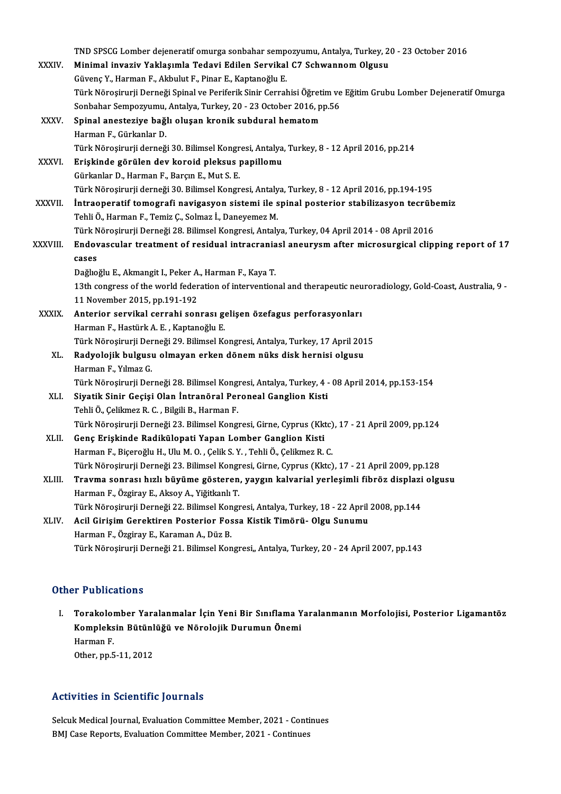|              | TND SPSCG Lomber dejeneratif omurga sonbahar sempozyumu, Antalya, Turkey, 20 - 23 October 2016                     |
|--------------|--------------------------------------------------------------------------------------------------------------------|
| XXXIV.       | Minimal invaziv Yaklaşımla Tedavi Edilen Servikal C7 Schwannom Olgusu                                              |
|              | Güvenç Y., Harman F., Akbulut F., Pinar E., Kaptanoğlu E.                                                          |
|              | Türk Nöroşirurji Derneği Spinal ve Periferik Sinir Cerrahisi Öğretim ve Eğitim Grubu Lomber Dejeneratif Omurga     |
|              | Sonbahar Sempozyumu, Antalya, Turkey, 20 - 23 October 2016, pp.56                                                  |
| XXXV.        | Spinal anesteziye bağlı oluşan kronik subdural hematom                                                             |
|              | Harman F., Gürkanlar D.                                                                                            |
|              | Türk Nöroşirurji derneği 30. Bilimsel Kongresi, Antalya, Turkey, 8 - 12 April 2016, pp.214                         |
| <b>XXXVI</b> | Erişkinde görülen dev koroid pleksus papillomu                                                                     |
|              | Gürkanlar D., Harman F., Barçın E., Mut S. E.                                                                      |
|              | Türk Nöroşirurji derneği 30. Bilimsel Kongresi, Antalya, Turkey, 8 - 12 April 2016, pp.194-195                     |
| XXXVII.      | Intraoperatif tomografi navigasyon sistemi ile spinal posterior stabilizasyon tecrübemiz                           |
|              | Tehli Ö., Harman F., Temiz Ç., Solmaz İ., Daneyemez M.                                                             |
|              | Türk Nöroşirurji Derneği 28. Bilimsel Kongresi, Antalya, Turkey, 04 April 2014 - 08 April 2016                     |
| XXXVIII.     | Endovascular treatment of residual intracraniasl aneurysm after microsurgical clipping report of 17                |
|              | cases                                                                                                              |
|              | Dağlıoğlu E., Akmangit I., Peker A., Harman F., Kaya T.                                                            |
|              | 13th congress of the world federation of interventional and therapeutic neuroradiology, Gold-Coast, Australia, 9 - |
|              | 11 November 2015, pp 191-192                                                                                       |
| <b>XXXIX</b> | Anterior servikal cerrahi sonrası gelişen özefagus perforasyonları                                                 |
|              | Harman F., Hastürk A. E., Kaptanoğlu E.                                                                            |
|              | Türk Nöroşirurji Derneği 29. Bilimsel Kongresi, Antalya, Turkey, 17 April 2015                                     |
| XL.          | Radyolojik bulgusu olmayan erken dönem nüks disk hernisi olgusu                                                    |
|              | Harman F., Yılmaz G.                                                                                               |
|              | Türk Nöroşirurji Derneği 28. Bilimsel Kongresi, Antalya, Turkey, 4 - 08 April 2014, pp.153-154                     |
| XLI.         | Siyatik Sinir Geçişi Olan İntranöral Peroneal Ganglion Kisti                                                       |
|              | Tehli Ö., Çelikmez R. C., Bilgili B., Harman F.                                                                    |
|              | Türk Nöroşirurji Derneği 23. Bilimsel Kongresi, Girne, Cyprus (Kktc), 17 - 21 April 2009, pp.124                   |
| XLII.        | Genç Erişkinde Radikülopati Yapan Lomber Ganglion Kisti                                                            |
|              | Harman F., Biçeroğlu H., Ulu M. O., Çelik S. Y., Tehli Ö., Çelikmez R. C.                                          |
|              | Türk Nöroşirurji Derneği 23. Bilimsel Kongresi, Girne, Cyprus (Kktc), 17 - 21 April 2009, pp.128                   |
| XLIII.       | Travma sonrası hızlı büyüme gösteren, yaygın kalvarial yerleşimli fibröz displazi olgusu                           |
|              | Harman F., Özgiray E., Aksoy A., Yiğitkanlı T.                                                                     |
|              | Türk Nöroşirurji Derneği 22. Bilimsel Kongresi, Antalya, Turkey, 18 - 22 April 2008, pp.144                        |
| XLIV.        | Acil Girişim Gerektiren Posterior Fossa Kistik Timörü- Olgu Sunumu                                                 |
|              | Harman F., Özgiray E., Karaman A., Düz B.                                                                          |
|              | Türk Nöroşirurji Derneği 21. Bilimsel Kongresi,, Antalya, Turkey, 20 - 24 April 2007, pp.143                       |
|              |                                                                                                                    |
|              |                                                                                                                    |

## Other Publications

I. Torakolomber Yaralanmalar İçin Yeni Bir Sınıflama Yaralanmanın Morfolojisi, Posterior Ligamantöz r i döstedelensi<br>Torakolomber Yaralanmalar İçin Yeni Bir Sınıflama Y<br>Kompleksin Bütünlüğü ve Nörolojik Durumun Önemi<br>Harman F Torakoloi<br>Kompleks<br>Harman F.<br>Otber nn E Kompleksin Bütünl<br>Harman F.<br>Other, pp.5-11, 2012 Other, pp.5-11, 2012<br>Activities in Scientific Journals

Selcuk Medical Journal, Evaluation Committee Member, 2021 - Continues BMJ Case Reports, Evaluation Committee Member, 2021 - Continues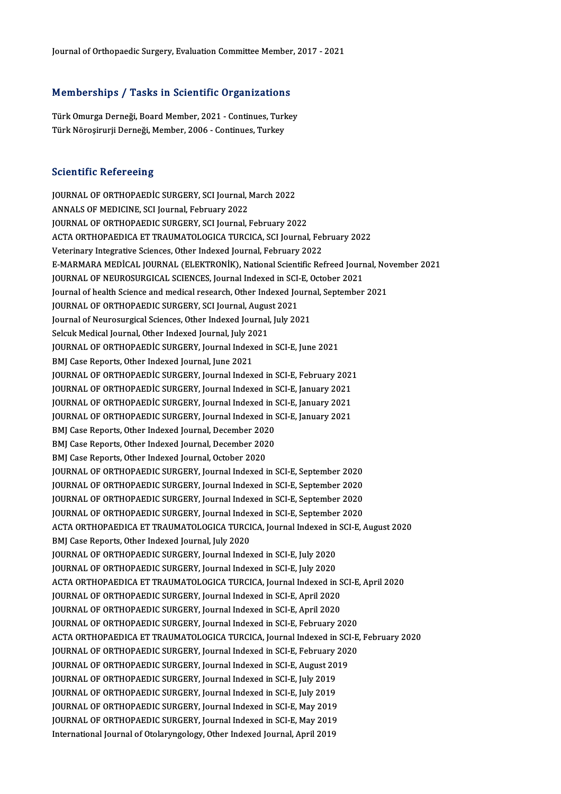# Journal or Orthopaedic Surgery, Evaluation Committee Member<br>Memberships / Tasks in Scientific Organizations

Memberships / Tasks in Scientific Organizations<br>Türk Omurga Derneği, Board Member, 2021 - Continues, Turkey<br>Türk Nöresirurji Derneği, Member, 2006 - Continues, Turkey Türk Omurga Derneği, Board Member, 2021 - Continues, Turkey<br>Türk Nöroşirurji Derneği, Member, 2006 - Continues, Turkey

### **Scientific Refereeing**

JOURNAL OF ORTHOPAEDIC SURGERY, SCI Journal, March 2022 ANNALS OF MEDICINE, SCI Journal, February 2022 JOURNAL OF ORTHOPAEDIC SURGERY, SCI Journal, February 2022 ANNALS OF MEDICINE, SCI Journal, February 2022<br>JOURNAL OF ORTHOPAEDIC SURGERY, SCI Journal, February 2022<br>ACTA ORTHOPAEDICA ET TRAUMATOLOGICA TURCICA, SCI Journal, February 2022<br>Veterinary Integrative Sciences, Other Indev JOURNAL OF ORTHOPAEDIC SURGERY, SCI Journal, February 2022<br>ACTA ORTHOPAEDICA ET TRAUMATOLOGICA TURCICA, SCI Journal, Fel<br>Veterinary Integrative Sciences, Other Indexed Journal, February 2022<br>E MARMARA MEDICAL JOURNAL (ELEK ACTA ORTHOPAEDICA ET TRAUMATOLOGICA TURCICA, SCI Journal, February 2022<br>Veterinary Integrative Sciences, Other Indexed Journal, February 2022<br>E-MARMARA MEDICAL JOURNAL (ELEKTRONIK), National Scientific Refreed Journal, Nov Veterinary Integrative Sciences, Other Indexed Journal, February 2022<br>E-MARMARA MEDICAL JOURNAL (ELEKTRONIK), National Scientific Refreed Journ<br>JOURNAL OF NEUROSURGICAL SCIENCES, Journal Indexed in SCI-E, October 2021<br>Jour E-MARMARA MEDİCAL JOURNAL (ELEKTRONİK), National Scientific Refreed Journal, No<br>JOURNAL OF NEUROSURGICAL SCIENCES, Journal Indexed in SCI-E, October 2021<br>Journal of health Science and medical research, Other Indexed Journa JOURNAL OF NEUROSURGICAL SCIENCES, Journal Indexed in SCI-<br>Journal of health Science and medical research, Other Indexed Journal, August<br>JOURNAL OF ORTHOPAEDIC SURGERY, SCI Journal, August 2021<br>Journal of Nourosurgical Sci Journal of health Science and medical research, Other Indexed Journ<br>JOURNAL OF ORTHOPAEDIC SURGERY, SCI Journal, August 2021<br>Journal of Neurosurgical Sciences, Other Indexed Journal, July 2021<br>Selayk Medical Journal, Other JOURNAL OF ORTHOPAEDIC SURGERY, SCI Journal, August 2021<br>Journal of Neurosurgical Sciences, Other Indexed Journal, July 2021 JOURNAL OF ORTHOPAEDIC SURGERY, Journal Indexed in SCI-E, June 2021<br>BMJ Case Reports, Other Indexed Journal, June 2021 Selcuk Medical Journal, Other Indexed Journal, July 2021 JOURNAL OF ORTHOPAEDİC SURGERY, Journal Indexed in SCI-E, June 2021<br>BMJ Case Reports, Other Indexed Journal, June 2021<br>JOURNAL OF ORTHOPAEDİC SURGERY, Journal Indexed in SCI-E, February 2021<br>JOURNAL OF ORTHOPAEDİC SURGERY, BMJ Case Reports, Other Indexed Journal, June 2021<br>JOURNAL OF ORTHOPAEDIC SURGERY, Journal Indexed in SCI-E, February 2021<br>JOURNAL OF ORTHOPAEDIC SURGERY, Journal Indexed in SCI-E, January 2021<br>JOURNAL OF ORTHOPAEDIC SURGE JOURNAL OF ORTHOPAEDİC SURGERY, Journal Indexed in SCI-E, February 2021<br>JOURNAL OF ORTHOPAEDİC SURGERY, Journal Indexed in SCI-E, January 2021<br>JOURNAL OF ORTHOPAEDİC SURGERY, Journal Indexed in SCI-E, January 2021<br>JOURNAL JOURNAL OF ORTHOPAEDIC SURGERY, Journal Indexed in SCI-E, January 2021<br>JOURNAL OF ORTHOPAEDIC SURGERY, Journal Indexed in SCI-E, January 2021<br>JOURNAL OF ORTHOPAEDIC SURGERY, Journal Indexed in SCI-E, January 2021<br>PMJ Cess JOURNAL OF ORTHOPAEDIC SURGERY, Journal Indexed in S<br>JOURNAL OF ORTHOPAEDIC SURGERY, Journal Indexed in S<br>BMJ Case Reports, Other Indexed Journal, December 2020<br>BMJ Case Benerts, Other Indexed Journal, Desember 2020 JOURNAL OF ORTHOPAEDIC SURGERY, Journal Indexed in S<br>BMJ Case Reports, Other Indexed Journal, December 2020<br>BMJ Case Reports, Other Indexed Journal, December 2020<br>BMJ Case Benerts, Other Indexed Journal, October 2020 BMJ Case Reports, Other Indexed Journal, December 2020<br>BMJ Case Reports, Other Indexed Journal, December 2020<br>BMJ Case Reports, Other Indexed Journal, October 2020 JOURNAL OF ORTHOPAEDIC SURGERY, Journal Indexed in SCI-E, September 2020 JOURNAL OF ORTHOPAEDIC SURGERY, Journal Indexed in SCI-E, September 2020 JOURNAL OF ORTHOPAEDIC SURGERY, Journal Indexed in SCI-E, September 2020<br>JOURNAL OF ORTHOPAEDIC SURGERY, Journal Indexed in SCI-E, September 2020<br>JOURNAL OF ORTHOPAEDIC SURGERY, Journal Indexed in SCI-E, September 2020<br>JOU JOURNAL OF ORTHOPAEDIC SURGERY, Journal Indexed in SCI-E, September 2020<br>JOURNAL OF ORTHOPAEDIC SURGERY, Journal Indexed in SCI-E, September 2020<br>JOURNAL OF ORTHOPAEDIC SURGERY, Journal Indexed in SCI-E, September 2020<br>ACT JOURNAL OF ORTHOPAEDIC SURGERY, Journal Indexed in SCI-E, September 2020<br>JOURNAL OF ORTHOPAEDIC SURGERY, Journal Indexed in SCI-E, September 2020<br>ACTA ORTHOPAEDICA ET TRAUMATOLOGICA TURCICA, Journal Indexed in SCI-E, Augus JOURNAL OF ORTHOPAEDIC SURGERY, Journal Indexed in SCI-E, September 2020<br>ACTA ORTHOPAEDICA ET TRAUMATOLOGICA TURCICA, Journal Indexed in SCI-E,<br>BMJ Case Reports, Other Indexed Journal, July 2020 ACTA ORTHOPAEDICA ET TRAUMATOLOGICA TURCICA, Journal Indexed in<br>BMJ Case Reports, Other Indexed Journal, July 2020<br>JOURNAL OF ORTHOPAEDIC SURGERY, Journal Indexed in SCI-E, July 2020<br>JOURNAL OF OPTHOPAEDIC SURGERY, Journal JOURNAL OF ORTHOPAEDIC SURGERY, Journal Indexed in SCI-E, July 2020<br>JOURNAL OF ORTHOPAEDIC SURGERY, Journal Indexed in SCI-E, July 2020 ACTA ORTHOPAEDICA ET TRAUMATOLOGICA TURCICA, Journal Indexed in SCI-E, April 2020 JOURNAL OF ORTHOPAEDIC SURGERY, Journal Indexed in SCI-E, July 2020<br>ACTA ORTHOPAEDICA ET TRAUMATOLOGICA TURCICA, Journal Indexed in S<br>JOURNAL OF ORTHOPAEDIC SURGERY, Journal Indexed in SCI-E, April 2020<br>JOURNAL OF ORTHOPAE ACTA ORTHOPAEDICA ET TRAUMATOLOGICA TURCICA, Journal Indexed in S<br>JOURNAL OF ORTHOPAEDIC SURGERY, Journal Indexed in SCI-E, April 2020<br>JOURNAL OF ORTHOPAEDIC SURGERY, Journal Indexed in SCI-E, April 2020<br>JOURNAL OF ORTHOPA JOURNAL OF ORTHOPAEDIC SURGERY, Journal Indexed in SCI-E, April 2020<br>JOURNAL OF ORTHOPAEDIC SURGERY, Journal Indexed in SCI-E, April 2020<br>JOURNAL OF ORTHOPAEDIC SURGERY, Journal Indexed in SCI-E, February 2020<br>ACTA OPTHOPA JOURNAL OF ORTHOPAEDIC SURGERY, Journal Indexed in SCI-E, April 2020<br>JOURNAL OF ORTHOPAEDIC SURGERY, Journal Indexed in SCI-E, February 2020<br>ACTA ORTHOPAEDICA ET TRAUMATOLOGICA TURCICA, Journal Indexed in SCI-E, February 2 JOURNAL OF ORTHOPAEDIC SURGERY, Journal Indexed in SCI-E, February 2020 ACTA ORTHOPAEDICA ET TRAUMATOLOGICA TURCICA, Journal Indexed in SCI<br>JOURNAL OF ORTHOPAEDIC SURGERY, Journal Indexed in SCI-E, February 202<br>JOURNAL OF ORTHOPAEDIC SURGERY, Journal Indexed in SCI-E, August 2019<br>JOURNAL OF OR JOURNAL OF ORTHOPAEDIC SURGERY, Journal Indexed in SCI-E, February <mark>:</mark><br>JOURNAL OF ORTHOPAEDIC SURGERY, Journal Indexed in SCI-E, August 20<br>JOURNAL OF ORTHOPAEDIC SURGERY, Journal Indexed in SCI-E, July 2019<br>JOURNAL OF OPTH JOURNAL OF ORTHOPAEDIC SURGERY, Journal Indexed in SCI-E, August 20<br>JOURNAL OF ORTHOPAEDIC SURGERY, Journal Indexed in SCI-E, July 2019<br>JOURNAL OF ORTHOPAEDIC SURGERY, Journal Indexed in SCI-E, July 2019<br>JOURNAL OF OPTHOPA JOURNAL OF ORTHOPAEDIC SURGERY, Journal Indexed in SCI-E, July 2019<br>JOURNAL OF ORTHOPAEDIC SURGERY, Journal Indexed in SCI-E, July 2019<br>JOURNAL OF ORTHOPAEDIC SURGERY, Journal Indexed in SCI-E, May 2019 JOURNAL OF ORTHOPAEDIC SURGERY, Journal Indexed in SCI-E, July 2019<br>JOURNAL OF ORTHOPAEDIC SURGERY, Journal Indexed in SCI-E, May 2019<br>JOURNAL OF ORTHOPAEDIC SURGERY, Journal Indexed in SCI-E, May 2019<br>International Journa JOURNAL OF ORTHOPAEDIC SURGERY, Journal Indexed in SCI-E, May 2019<br>JOURNAL OF ORTHOPAEDIC SURGERY, Journal Indexed in SCI-E, May 2019<br>International Journal of Otolaryngology, Other Indexed Journal, April 2019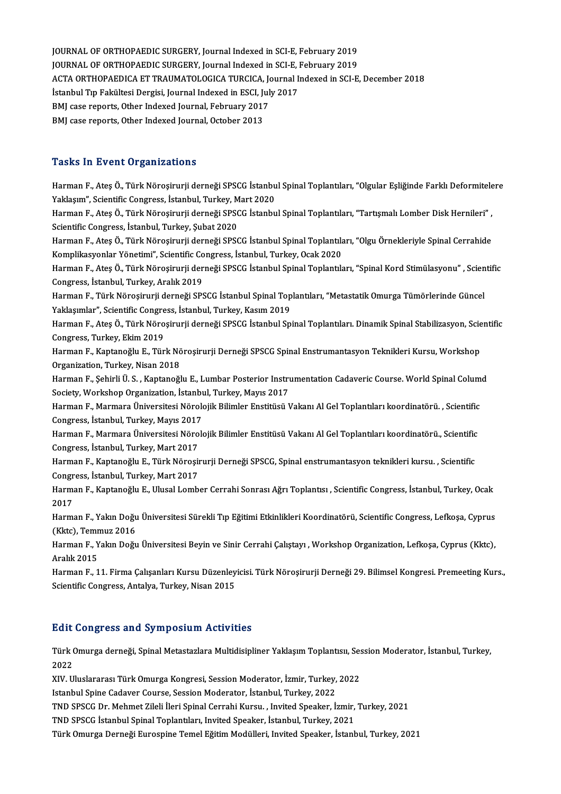JOURNAL OF ORTHOPAEDIC SURGERY, Journal Indexed in SCI-E, February 2019<br>JOURNAL OF ORTHOPAEDIC SURGERY, Journal Indexed in SCI-E, February 2019 JOURNAL OF ORTHOPAEDIC SURGERY, Journal Indexed in SCI-E, February 2019<br>JOURNAL OF ORTHOPAEDIC SURGERY, Journal Indexed in SCI-E, February 2019<br>ACTA OPTHOPAEDICA ET TRAUMATOLOGICA TURGICA, Journal Indexed in SCI-E JOURNAL OF ORTHOPAEDIC SURGERY, Journal Indexed in SCI-E, February 2019<br>JOURNAL OF ORTHOPAEDIC SURGERY, Journal Indexed in SCI-E, February 2019<br>ACTA ORTHOPAEDICA ET TRAUMATOLOGICA TURCICA, Journal Indexed in SCI-E, Decembe JOURNAL OF ORTHOPAEDIC SURGERY, Journal Indexed in SCI-E, February 2019<br>ACTA ORTHOPAEDICA ET TRAUMATOLOGICA TURCICA, Journal Indexed in SCI-E<br>İstanbul Tıp Fakültesi Dergisi, Journal Indexed in ESCI, July 2017<br>BMJ case repo ACTA ORTHOPAEDICA ET TRAUMATOLOGICA TURCICA, Jo<br>Istanbul Tıp Fakültesi Dergisi, Journal Indexed in ESCI, Jul<br>BMJ case reports, Other Indexed Journal, February 2017<br>BMJ case reports, Other Indexed Journal, October 2013 İstanbul Tıp Fakültesi Dergisi, Journal Indexed in ESCI, July 2017<br>BMJ case reports, Other Indexed Journal, February 2017<br>BMJ case reports, Other Indexed Journal, October 2013

## **Tasks In Event Organizations**

Harman F., Ateş Ö., Türk Nöroşirurji derneği SPSCG İstanbul Spinal Toplantıları, "Olgular Eşliğinde Farklı Deformitelere Yaskıs Yır 2 vent er gammatısını<br>Harman F., Ateş Ö., Türk Nöroşirurji derneği SPSCG İstanbu<br>Yaklaşım", Scientific Congress, İstanbul, Turkey, Mart 2020<br>Harman E., Ates Ö., Türk Nöroşirurii derneği SPSCC İstanbu Harman F., Ateş Ö., Türk Nöroşirurji derneği SPSCG İstanbul Spinal Toplantıları, "Olgular Eşliğinde Farklı Deformitele<br>Yaklaşım", Scientific Congress, İstanbul, Turkey, Mart 2020<br>Harman F., Ateş Ö., Türk Nöroşirurji derneğ Yaklaşım", Scientific Congress, İstanbul, Turkey, M<br>Harman F., Ateş Ö., Türk Nöroşirurji derneği SPS(<br>Scientific Congress, İstanbul, Turkey, Şubat 2020<br>Harman E., Ates Ö., Türk Nöroşinurji derneği SPS( Harman F., Ateş Ö., Türk Nöroşirurji derneği SPSCG İstanbul Spinal Toplantıları, "Tartışmalı Lomber Disk Hernileri" ,<br>Scientific Congress, İstanbul, Turkey, Şubat 2020<br>Harman F., Ateş Ö., Türk Nöroşirurji derneği SPSCG İst Scientific Congress, İstanbul, Turkey, Şubat 2020<br>Harman F., Ateş Ö., Türk Nöroşirurji derneği SPSCG İstanbul Spinal Toplantıları, "Olgu Örnekleriyle Spinal Cerrahide<br>Komplikasyonlar Yönetimi", Scientific Congress, İstanbu Harman F., Ateş Ö., Türk Nöroşirurji derneği SPSCG İstanbul Spinal Toplantıları, "Olgu Örnekleriyle Spinal Cerrahide<br>Komplikasyonlar Yönetimi", Scientific Congress, İstanbul, Turkey, Ocak 2020<br>Harman F., Ateş Ö., Türk Nöro Komplikasyonlar Yönetimi", Scientific Co<br>Harman F., Ateş Ö., Türk Nöroşirurji der<br>Congress, İstanbul, Turkey, Aralık 2019<br>Harman E. Türk Nörosinurji derneği SP Harman F., Ateş Ö., Türk Nöroşirurji derneği SPSCG İstanbul Spinal Toplantıları, "Spinal Kord Stimülasyonu" , Scien<br>Congress, İstanbul, Turkey, Aralık 2019<br>Harman F., Türk Nöroşirurji derneği SPSCG İstanbul Spinal Toplantı Congress, İstanbul, Turkey, Aralık 2019<br>Harman F., Türk Nöroşirurji derneği SPSCG İstanbul Spinal Top<br>Yaklaşımlar", Scientific Congress, İstanbul, Turkey, Kasım 2019<br>Harman F., Atas Ö., Türk Nörosinurji derneği SPSCC İstan Harman F., Türk Nöroşirurji derneği SPSCG İstanbul Spinal Toplantıları, "Metastatik Omurga Tümörlerinde Güncel<br>Yaklaşımlar", Scientific Congress, İstanbul, Turkey, Kasım 2019<br>Harman F., Ateş Ö., Türk Nöroşirurji derneği SP Yaklaşımlar", Scientific Congre<br>Harman F., Ateş Ö., Türk Nöro<br>Congress, Turkey, Ekim 2019<br>Harman E. Kantaneğlu E. Tür Harman F., Ateş Ö., Türk Nöroşirurji derneği SPSCG İstanbul Spinal Toplantıları. Dinamik Spinal Stabilizasyon, Scie<br>Congress, Turkey, Ekim 2019<br>Harman F., Kaptanoğlu E., Türk Nöroşirurji Derneği SPSCG Spinal Enstrumantasyo Congress, Turkey, Ekim 2019<br>Harman F., Kaptanoğlu E., Türk Nöroşirurji Derneği SPSCG Spinal Enstrumantasyon Teknikleri Kursu, Workshop<br>Organization, Turkey, Nisan 2018 Harman F., Kaptanoğlu E., Türk Nöroşirurji Derneği SPSCG Spinal Enstrumantasyon Teknikleri Kursu, Workshop<br>Organization, Turkey, Nisan 2018<br>Harman F., Şehirli Ü. S. , Kaptanoğlu E., Lumbar Posterior Instrumentation Cadaver Organization, Turkey, Nisan 2018<br>Harman F., Şehirli Ü. S. , Kaptanoğlu E., Lumbar Posterior Instru<br>Society, Workshop Organization, İstanbul, Turkey, Mayıs 2017<br>Harman E. Marmara Üniversitesi Nörolejik Bilimler Enstitüsü I Harman F., Şehirli Ü. S. , Kaptanoğlu E., Lumbar Posterior Instrumentation Cadaveric Course. World Spinal Colum<br>Society, Workshop Organization, İstanbul, Turkey, Mayıs 2017<br>Harman F., Marmara Üniversitesi Nörolojik Bilimle Society, Workshop Organization, İstanbul, Turkey, Mayıs 2017<br>Harman F., Marmara Üniversitesi Nörolojik Bilimler Enstitüsü<br>Congress, İstanbul, Turkey, Mayıs 2017 Harman F., Marmara Üniversitesi Nörolojik Bilimler Enstitüsü Vakanı Al Gel Toplantıları koordinatörü., Scientific Congress, İstanbul, Turkey, Mayıs 2017<br>Harman F., Marmara Üniversitesi Nöro<br>Congress, İstanbul, Turkey, Mart 2017<br>Harman E. Kantanoğlu E. Türk Nörocü Harman F., Marmara Üniversitesi Nörolojik Bilimler Enstitüsü Vakanı Al Gel Toplantıları koordinatörü., Scientific<br>Congress, İstanbul, Turkey, Mart 2017<br>Harman F., Kaptanoğlu E., Türk Nöroşirurji Derneği SPSCG, Spinal enstr Congress, İstanbul, Turkey, Mart 2017<br>Harman F., Kaptanoğlu E., Türk Nöroşiı<br>Congress, İstanbul, Turkey, Mart 2017<br>Harman E. Kantanoğlu E. Hlusal Lamb Harman F., Kaptanoğlu E., Ulusal Lomber Cerrahi Sonrası Ağrı Toplantısı , Scientific Congress, İstanbul, Turkey, Ocak<br>2017 Congress, İstanbul, Turkey, Mart 2017 Harman F., Kaptanoğlu E., Ulusal Lomber Cerrahi Sonrası Ağrı Toplantısı , Scientific Congress, İstanbul, Turkey, Ocak<br>2017<br>Harman F., Yakın Doğu Üniversitesi Sürekli Tıp Eğitimi Etkinlikleri Koordinatörü, Scientific Congre 2017<br>Harman F., Yakın Doğu<br>(Kktc), Temmuz 2016<br>Harman E. Yakın Doğu Harman F., Yakın Doğu Üniversitesi Sürekli Tıp Eğitimi Etkinlikleri Koordinatörü, Scientific Congress, Lefkoşa, Cyprus<br>(Kktc), Temmuz 2016<br>Harman F., Yakın Doğu Üniversitesi Beyin ve Sinir Cerrahi Çalıştayı , Workshop Orga (Kktc), Temmuz 2016<br>Harman F., Yakın Doğu Üniversitesi Beyin ve Sinir Cerrahi Çalıştayı , Workshop Organization, Lefkoşa, Cyprus (Kktc),<br>Aralık 2015 Harman F., Yakın Doğu Üniversitesi Beyin ve Sinir Cerrahi Çalıştayı , Workshop Organization, Lefkoşa, Cyprus (Kktc),<br>Aralık 2015<br>Harman F., 11. Firma Çalışanları Kursu Düzenleyicisi. Türk Nöroşirurji Derneği 29. Bilimsel K Aralık 2015<br>Harman F., 11. Firma Çalışanları Kursu Düzenley<br>Scientific Congress, Antalya, Turkey, Nisan 2015

# Scientific Congress, Antalya, Turkey, Nisan 2015<br>Edit Congress and Symposium Activities

Edit Congress and Symposium Activities<br>Türk Omurga derneği, Spinal Metastazlara Multidisipliner Yaklaşım Toplantısıı, Session Moderator, İstanbul, Turkey, 2022<br>2022<br>2022 Türk Omurga derneği, Spinal Metastazlara Multidisipliner Yaklaşım Toplantısıı, Ses<br>2022<br>XIV. Uluslararası Türk Omurga Kongresi, Session Moderator, İzmir, Turkey, 2022<br>Istanbul Spine Codeyen Course, Session Moderaton, İstan

2022<br>XIV. Uluslararası Türk Omurga Kongresi, Session Moderator, İzmir, Turkey, 2022<br>Istanbul Spine Cadaver Course, Session Moderator, İstanbul, Turkey, 2022

XIV. Uluslararası Türk Omurga Kongresi, Session Moderator, İzmir, Turkey, 2022<br>Istanbul Spine Cadaver Course, Session Moderator, İstanbul, Turkey, 2022<br>TND SPSCG Dr. Mehmet Zileli İleri Spinal Cerrahi Kursu. , Invited Spea Istanbul Spine Cadaver Course, Session Moderator, İstanbul, Turkey, 2022<br>TND SPSCG Dr. Mehmet Zileli İleri Spinal Cerrahi Kursu. , Invited Speaker, İzmir,<br>TND SPSCG İstanbul Spinal Toplantıları, Invited Speaker, İstanbul,

TND SPSCG İstanbul Spinal Toplantıları, Invited Speaker, İstanbul, Turkey, 2021<br>Türk Omurga Derneği Eurospine Temel Eğitim Modülleri, Invited Speaker, İstanbul, Turkey, 2021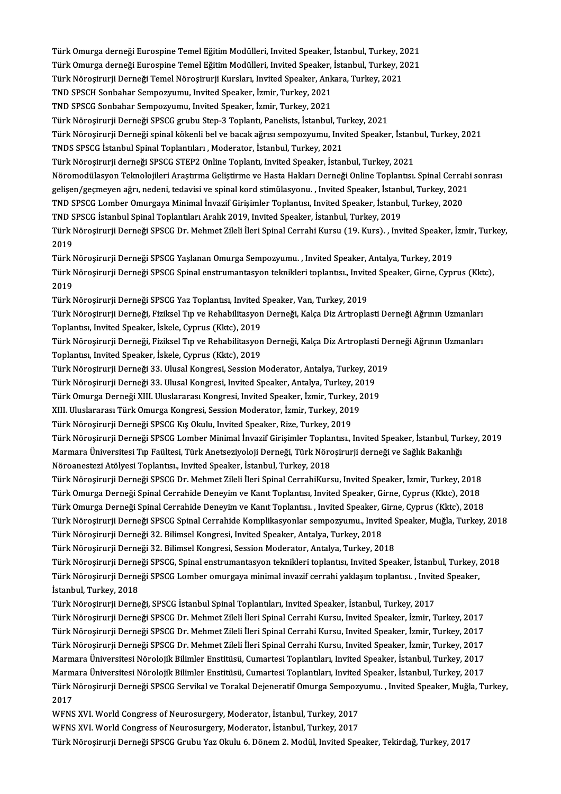Türk Omurga derneği Eurospine Temel Eğitim Modülleri, Invited Speaker, İstanbul, Turkey, 2021<br>Türk Omurga derneği Eurospine Temel Eğitim Modülleri, Invited Speaker, İstanbul, Turkey, 2021 Türk Omurga derneği Eurospine Temel Eğitim Modülleri, Invited Speaker, İstanbul, Turkey, 2021<br>Türk Omurga derneği Eurospine Temel Eğitim Modülleri, Invited Speaker, İstanbul, Turkey, 2021<br>Türk Nörosimuri Derneği Temel Nöro Türk Omurga derneği Eurospine Temel Eğitim Modülleri, Invited Speaker, İstanbul, Turkey, 2<br>Türk Omurga derneği Eurospine Temel Eğitim Modülleri, Invited Speaker, İstanbul, Turkey, 2<br>Türk Nöroşirurji Derneği Temel Nöroşirur Türk Omurga derneği Eurospine Temel Eğitim Modülleri, Invited Speaker,<br>Türk Nöroşirurji Derneği Temel Nöroşirurji Kursları, Invited Speaker, Ank<br>TND SPSCH Sonbahar Sempozyumu, Invited Speaker, İzmir, Turkey, 2021<br>TND SPSCC Türk Nöroşirurji Derneği Temel Nöroşirurji Kursları, Invited Speaker, Ankara, Turkey, 2021<br>TND SPSCH Sonbahar Sempozyumu, Invited Speaker, İzmir, Turkey, 2021<br>TND SPSCG Sonbahar Sempozyumu, Invited Speaker, İzmir, Turkey, Türk Nöroşirurji Derneği SPSCG grubu Step-3 Toplantı, Panelists, İstanbul, Turkey, 2021 TND SPSCG Sonbahar Sempozyumu, Invited Speaker, İzmir, Turkey, 2021<br>Türk Nöroşirurji Derneği SPSCG grubu Step-3 Toplantı, Panelists, İstanbul, Turkey, 2021<br>Türk Nöroşirurji Derneği spinal kökenli bel ve bacak ağrısı sempoz Türk Nöroşirurji Derneği SPSCG grubu Step-3 Toplantı, Panelists, İstanbul, Tu<br>Türk Nöroşirurji Derneği spinal kökenli bel ve bacak ağrısı sempozyumu, İnv<br>TNDS SPSCG İstanbul Spinal Toplantıları , Moderator, İstanbul, Turke Türk Nöroşirurji Derneği spinal kökenli bel ve bacak ağrısı sempozyumu, Invited Speaker, İstanl<br>TNDS SPSCG İstanbul Spinal Toplantıları , Moderator, İstanbul, Turkey, 2021<br>Türk Nöroşirurji derneği SPSCG STEP2 Online Toplan TNDS SPSCG İstanbul Spinal Toplantıları , Moderator, İstanbul, Turkey, 2021<br>Türk Nöroşirurji derneği SPSCG STEP2 Online Toplantı, Invited Speaker, İstanbul, Turkey, 2021<br>Nöromodülasyon Teknolojileri Araştırma Geliştirme ve Türk Nöroşirurji derneği SPSCG STEP2 Online Toplantı, Invited Speaker, İstanbul, Turkey, 2021<br>Nöromodülasyon Teknolojileri Araştırma Geliştirme ve Hasta Hakları Derneği Online Toplantısı. Spinal Cerrah:<br>gelişen/geçmeyen ağ Nöromodülasyon Teknolojileri Araştırma Geliştirme ve Hasta Hakları Derneği Online Toplantısı. Spinal Cerra<br>gelişen/geçmeyen ağrı, nedeni, tedavisi ve spinal kord stimülasyonu. , Invited Speaker, İstanbul, Turkey, 2021<br>TND gelişen/geçmeyen ağrı, nedeni, tedavisi ve spinal kord stimülasyonu. , Invited Speaker, İstanbul, Turkey, 2021<br>TND SPSCG Lomber Omurgaya Minimal İnvazif Girişimler Toplantısı, Invited Speaker, İstanbul, Turkey, 2020<br>TND SP TND SPSCG Lomber Omurgaya Minimal İnvazif Girişimler Toplantısı, Invited Speaker, İstanbul, Turkey, 2020<br>TND SPSCG İstanbul Spinal Toplantıları Aralık 2019, Invited Speaker, İstanbul, Turkey, 2019<br>Türk Nöroşirurji Derneği TND S<br>Türk I<br>2019<br>Türk I Türk Nöroşirurji Derneği SPSCG Dr. Mehmet Zileli İleri Spinal Cerrahi Kursu (19. Kurs). , Invited Speaker,<br>2019<br>Türk Nöroşirurji Derneği SPSCG Yaşlanan Omurga Sempozyumu. , Invited Speaker, Antalya, Turkey, 2019<br>Türk Nöros 2019<br>Türk Nöroşirurji Derneği SPSCG Yaşlanan Omurga Sempozyumu. , Invited Speaker, Antalya, Turkey, 2019<br>Türk Nöroşirurji Derneği SPSCG Spinal enstrumantasyon teknikleri toplantısı., Invited Speaker, Girne, Cyprus (Kktc), Türk Nöroşirurji Derneği SPSCG Yaşlanan Omurga Sempozyumu. , Invited Speaker, Antalya, Turkey, 2019<br>Türk Nöroşirurji Derneği SPSCG Spinal enstrumantasyon teknikleri toplantısı., Invited Speaker, Girne, Cyp<br>2019<br>Türk Nöroşi Türk Nöroşirurji Derneği SPSCG Spinal enstrumantasyon teknikleri toplantısı., Invite<br>2019<br>Türk Nöroşirurji Derneği SPSCG Yaz Toplantısı, Invited Speaker, Van, Turkey, 2019<br>Türk Nörosirurji Derneği, Firikal Tın ve Pehebilit 2019<br>Türk Nöroşirurji Derneği SPSCG Yaz Toplantısı, Invited Speaker, Van, Turkey, 2019<br>Türk Nöroşirurji Derneği, Fiziksel Tıp ve Rehabilitasyon Derneği, Kalça Diz Artroplasti Derneği Ağrının Uzmanları<br>Tenlantay Invited Spe Türk Nöroşirurji Derneği SPSCG Yaz Toplantısı, Invited Speaker, İskele, İspeaker, İskele, Cyprus (Kktc), 2019<br>Türk Nöroşirurji Derneği, Fiziksel Tıp ve Rehabilitasyon<br>Türk Nörosirurji Derneği, Fiziksel Tıp ve Rehabilitasyo Türk Nöroşirurji Derneği, Fiziksel Tıp ve Rehabilitasyon Derneği, Kalça Diz Artroplasti Derneği Ağrının Uzmanları<br>Toplantısı, Invited Speaker, İskele, Cyprus (Kktc), 2019<br>Türk Nöroşirurji Derneği, Fiziksel Tıp ve Rehabilit Toplantısı, Invited Speaker, İskele, Cyprus (Kktc), 2019<br>Türk Nöroşirurji Derneği, Fiziksel Tıp ve Rehabilitasyoı<br>Toplantısı, Invited Speaker, İskele, Cyprus (Kktc), 2019 Türk Nöroşirurji Derneği, Fiziksel Tıp ve Rehabilitasyon Derneği, Kalça Diz Artroplasti Derneği Ağrının Uzmanları Toplantısı, Invited Speaker, İskele, Cyprus (Kktc), 2019<br>Türk Nöroşirurji Derneği 33. Ulusal Kongresi, Session Moderator, Antalya, Turkey, 20<br>Türk Nöroşirurji Derneği 33. Ulusal Kongresi, Invited Speaker, Antalya, Turkey, Türk Nöroşirurji Derneği 33. Ulusal Kongresi, Session Moderator, Antalya, Turkey, 201<br>Türk Nöroşirurji Derneği 33. Ulusal Kongresi, Invited Speaker, Antalya, Turkey, 2019<br>Türk Omurga Derneği XIII. Uluslararası Kongresi, In Türk Nöroşirurji Derneği 33. Ulusal Kongresi, Invited Speaker, Antalya, Turkey, 2019<br>Türk Omurga Derneği XIII. Uluslararası Kongresi, Invited Speaker, İzmir, Turkey, 201<br>XIII. Uluslararası Türk Omurga Kongresi, Session Mod Türk Omurga Derneği XIII. Uluslararası Kongresi, Invited Speaker, İzmir, Turkey, 2019 XIII. Uluslararası Türk Omurga Kongresi, Session Moderator, İzmir, Turkey, 2019<br>Türk Nöroşirurji Derneği SPSCG Kış Okulu, Invited Speaker, Rize, Turkey, 2019<br>Türk Nöroşirurji Derneği SPSCG Lomber Minimal İnvazif Girişimler Türk Nöroşirurji Derneği SPSCG Kış Okulu, Invited Speaker, Rize, Turkey, 2019<br>Türk Nöroşirurji Derneği SPSCG Lomber Minimal İnvazif Girişimler Toplantısı., Invited Speaker, İstanbul, Tur<br>Märoanesteri Atâlyesi Toplantığı, I Türk Nöroşirurji Derneği SPSCG Lomber Minimal İnvazif Girişimler Toplaı<br>Marmara Üniversitesi Tıp Faültesi, Türk Anetseziyoloji Derneği, Türk Nörc<br>Nöroanestezi Atölyesi Toplantısı., Invited Speaker, İstanbul, Turkey, 2018<br>T Marmara Üniversitesi Tıp Faültesi, Türk Anetseziyoloji Derneği, Türk Nöroşirurji derneği ve Sağlık Bakanlığı<br>Nöroanestezi Atölyesi Toplantısı., Invited Speaker, İstanbul, Turkey, 2018<br>Türk Nöroşirurji Derneği SPSCG Dr. Meh Nöroanestezi Atölyesi Toplantısı., Invited Speaker, İstanbul, Turkey, 2018<br>Türk Nöroşirurji Derneği SPSCG Dr. Mehmet Zileli İleri Spinal CerrahiKursu, Invited Speaker, İzmir, Turkey, 2018<br>Türk Omurga Derneği Spinal Cerrahi Türk Nöroşirurji Derneği SPSCG Dr. Mehmet Zileli İleri Spinal CerrahiKursu, Invited Speaker, İzmir, Turkey, 2018<br>Türk Omurga Derneği Spinal Cerrahide Deneyim ve Kanıt Toplantısı, Invited Speaker, Girne, Cyprus (Kktc), 2018 Türk Omurga Derneği Spinal Cerrahide Deneyim ve Kanıt Toplantısı, Invited Speaker, Girne, Cyprus (Kktc), 2018<br>Türk Omurga Derneği Spinal Cerrahide Deneyim ve Kanıt Toplantısı. , Invited Speaker, Girne, Cyprus (Kktc), 2018<br> Türk Omurga Derneği Spinal Cerrahide Deneyim ve Kanıt Toplantısı. , Invited Speaker, (<br>Türk Nöroşirurji Derneği SPSCG Spinal Cerrahide Komplikasyonlar sempozyumu., Invite<br>Türk Nöroşirurji Derneği 32. Bilimsel Kongresi, Inv Türk Nöroşirurji Derneği SPSCG Spinal Cerrahide Komplikasyonlar sempozyumu., Invited S<br>Türk Nöroşirurji Derneği 32. Bilimsel Kongresi, Invited Speaker, Antalya, Turkey, 2018<br>Türk Nöroşirurji Derneği 32. Bilimsel Kongresi, Türk Nöroşirurji Derneği 32. Bilimsel Kongresi, Invited Speaker, Antalya, Turkey, 2018<br>Türk Nöroşirurji Derneği 32. Bilimsel Kongresi, Session Moderator, Antalya, Turkey, 2018<br>Türk Nöroşirurji Derneği SPSCG, Spinal enstrum Türk Nöroşirurji Derneği 32. Bilimsel Kongresi, Session Moderator, Antalya, Turkey, 2018<br>Türk Nöroşirurji Derneği SPSCG, Spinal enstrumantasyon teknikleri toplantısı, Invited Speaker, İstanbul, Turkey,<br>Türk Nöroşirurji Der Türk Nöroşirurji Derne<br>Türk Nöroşirurji Derne<br>İstanbul, Turkey, 2018<br>Türk Nörosinurji Derne Türk Nöroşirurji Derneği SPSCG Lomber omurgaya minimal invazif cerrahi yaklaşım toplantısı. , Invited Speaker,<br>İstanbul, Turkey, 2018<br>Türk Nöroşirurji Derneği, SPSCG İstanbul Spinal Toplantıları, Invited Speaker, İstanbul, İstanbul, Turkey, 2018<br>Türk Nöroşirurji Derneği, SPSCG İstanbul Spinal Toplantıları, Invited Speaker, İstanbul, Turkey, 2017<br>Türk Nöroşirurji Derneği SPSCG Dr. Mehmet Zileli İleri Spinal Cerrahi Kursu, Invited Speaker, İzm Türk Nöroşirurji Derneği, SPSCG İstanbul Spinal Toplantıları, Invited Speaker, İstanbul, Turkey, 2017<br>Türk Nöroşirurji Derneği SPSCG Dr. Mehmet Zileli İleri Spinal Cerrahi Kursu, Invited Speaker, İzmir, Turkey, 2017<br>Türk N Türk Nöroşirurji Derneği SPSCG Dr. Mehmet Zileli İleri Spinal Cerrahi Kursu, Invited Speaker, İzmir, Turkey, 2017<br>Türk Nöroşirurji Derneği SPSCG Dr. Mehmet Zileli İleri Spinal Cerrahi Kursu, Invited Speaker, İzmir, Turkey, Türk Nöroşirurji Derneği SPSCG Dr. Mehmet Zileli İleri Spinal Cerrahi Kursu, Invited Speaker, İzmir, Turkey, 2017<br>Türk Nörosirurji Derneği SPSCG Dr. Mehmet Zileli İleri Spinal Cerrahi Kursu, Invited Speaker, İzmir, Turkey, Marmara Üniversitesi Nörolojik Bilimler Enstitüsü, Cumartesi Toplantıları, Invited Speaker, İstanbul, Turkey, 2017 Marmara Üniversitesi Nörolojik Bilimler Enstitüsü, Cumartesi Toplantıları, Invited Speaker, İstanbul, Turkey, 2017<br>Marmara Üniversitesi Nörolojik Bilimler Enstitüsü, Cumartesi Toplantıları, Invited Speaker, İstanbul, Turke Marmara Üniversitesi Nörolojik Bilimler Enstitüsü, Cumartesi Toplantıları, Invited Speaker, İstanbul, Turkey, 2017<br>Türk Nöroşirurji Derneği SPSCG Servikal ve Torakal Dejeneratif Omurga Sempozyumu. , Invited Speaker, Muğla, Türk Nöroşirurji Derneği SPSCG Servikal ve Torakal Dejeneratif Omurga Sempozy<br>2017<br>WFNS XVI. World Congress of Neurosurgery, Moderator, İstanbul, Turkey, 2017<br>WENS XVI. World Congress of Neurosurgery, Moderator, İstanbul,

WFNS XVI. World Congress of Neurosurgery, Moderator, İstanbul, Turkey, 2017

Türk Nöroşirurji Derneği SPSCG Grubu Yaz Okulu 6. Dönem 2. Modül, Invited Speaker, Tekirdağ, Turkey, 2017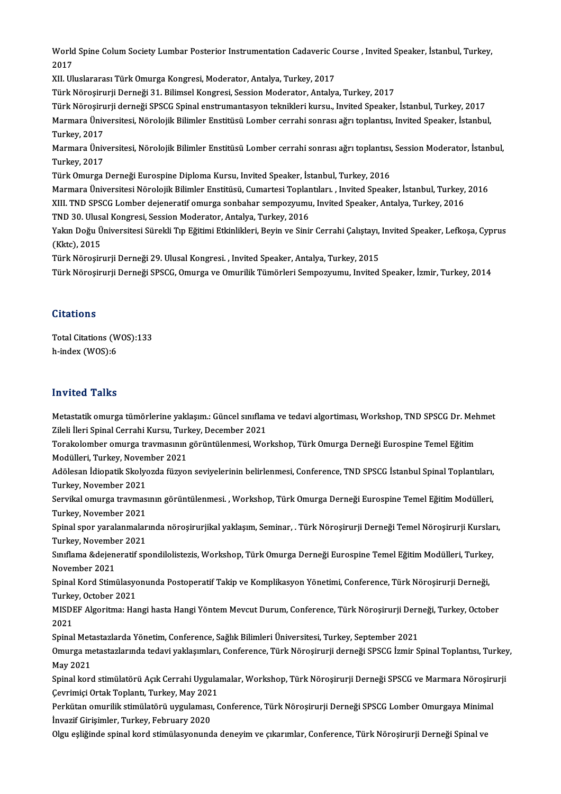World Spine Colum Society Lumbar Posterior Instrumentation Cadaveric Course , Invited Speaker, İstanbul, Turkey,<br>2017 World<br>2017<br>YU U World Spine Colum Society Lumbar Posterior Instrumentation Cadaveric C<br>2017<br>XII. Uluslararası Türk Omurga Kongresi, Moderator, Antalya, Turkey, 2017<br>Türk Nönesinunii Demeği 21, Bilimsel Kongresi, Session Moderator, Antalya

2017<br>XII. Uluslararası Türk Omurga Kongresi, Moderator, Antalya, Turkey, 2017<br>Türk Nöroşirurji Derneği 31. Bilimsel Kongresi, Session Moderator, Antalya, Turkey, 2017

XII. Uluslararası Türk Omurga Kongresi, Moderator, Antalya, Turkey, 2017<br>Türk Nöroşirurji Derneği 31. Bilimsel Kongresi, Session Moderator, Antalya, Turkey, 2017<br>Türk Nöroşirurji derneği SPSCG Spinal enstrumantasyon teknik Türk Nöroşirurji Derneği 31. Bilimsel Kongresi, Session Moderator, Antalya, Turkey, 2017<br>Türk Nöroşirurji derneği SPSCG Spinal enstrumantasyon teknikleri kursu., Invited Speaker, İstanbul, Turkey, 2017<br>Marmara Üniversitesi Türk Nöroşiru<br>Marmara Üniv<br>Turkey, 2017<br>Marmara Üniv Marmara Üniversitesi, Nörolojik Bilimler Enstitüsü Lomber cerrahi sonrası ağrı toplantısı, Invited Speaker, İstanbul,<br>Turkey, 2017<br>Marmara Üniversitesi, Nörolojik Bilimler Enstitüsü Lomber cerrahi sonrası ağrı toplantısı,

Turkey, 2017<br>Marmara Üniversitesi, Nörolojik Bilimler Enstitüsü Lomber cerrahi sonrası ağrı toplantısı, Session Moderator, İstanbul,<br>Turkey, 2017

Türk Omurga Derneği Eurospine Diploma Kursu, Invited Speaker, İstanbul, Turkey, 2016

Turkey, 2017<br>Türk Omurga Derneği Eurospine Diploma Kursu, Invited Speaker, İstanbul, Turkey, 2016<br>Marmara Üniversitesi Nörolojik Bilimler Enstitüsü, Cumartesi Toplantıları. , Invited Speaker, İstanbul, Turkey, 2016<br>YUL TND Türk Omurga Derneği Eurospine Diploma Kursu, Invited Speaker, İstanbul, Turkey, 2016<br>Marmara Üniversitesi Nörolojik Bilimler Enstitüsü, Cumartesi Toplantıları. , Invited Speaker, İstanbul, Turkey,<br>XIII. TND SPSCG Lomber de Marmara Üniversitesi Nörolojik Bilimler Enstitüsü, Cumartesi Toplar<br>XIII. TND SPSCG Lomber dejeneratif omurga sonbahar sempozyumu<br>TND 30. Ulusal Kongresi, Session Moderator, Antalya, Turkey, 2016<br>Yakın Doğu Üniversitesi Sü XIII. TND SPSCG Lomber dejeneratif omurga sonbahar sempozyumu, Invited Speaker, Antalya, Turkey, 2016<br>TND 30. Ulusal Kongresi, Session Moderator, Antalya, Turkey, 2016<br>Yakın Doğu Üniversitesi Sürekli Tıp Eğitimi Etkinlikle

TND 30. Ulusa<br>Yakın Doğu Ü<br>(Kktc), 2015<br>Türk Närosin Yakın Doğu Üniversitesi Sürekli Tıp Eğitimi Etkinlikleri, Beyin ve Sinir Cerrahi Çalıştayı,<br>(Kktc), 2015<br>Türk Nöroşirurji Derneği 29. Ulusal Kongresi. , Invited Speaker, Antalya, Turkey, 2015<br>Türk Nörosirurji Derneği SPSCC (Kktc), 2015<br>Türk Nöroşirurji Derneği 29. Ulusal Kongresi. , Invited Speaker, Antalya, Turkey, 2015<br>Türk Nöroşirurji Derneği SPSCG, Omurga ve Omurilik Tümörleri Sempozyumu, Invited Speaker, İzmir, Turkey, 2014

### **Citations**

Citations<br>Total Citations (WOS):133<br>b.indox (WOS):6 h-index (WOS):6 h-index (WOS):6<br>Invited Talks

I**nvited Talks**<br>Metastatik omurga tümörlerine yaklaşım.: Güncel sınıflama ve tedavi algortiması, Workshop, TND SPSCG Dr. Mehmet<br>Zileli İleri Spinal Cerrebi Kursu, Turkey, Desember 2021 zir viceli Fland<br>Metastatik omurga tümörlerine yaklaşım.: Güncel sınıflam<br>Zileli İleri Spinal Cerrahi Kursu, Turkey, December 2021<br>Terakalamber omurga traymasının görüntülenmesi Wor Metastatik omurga tümörlerine yaklaşım.: Güncel sınıflama ve tedavi algortiması, Workshop, TND SPSCG Dr. Mel<br>Zileli İleri Spinal Cerrahi Kursu, Turkey, December 2021<br>Torakolomber omurga travmasının görüntülenmesi, Workshop

Zileli İleri Spinal Cerrahi Kursu, Turkey, December 2021<br>Torakolomber omurga travmasının görüntülenmesi, Workshop, Türk Omurga Derneği Eurospine Temel Eğitim Modülleri, Turkey, November 2021

Adölesan İdiopatik Skolyozda füzyon seviyelerinin belirlenmesi, Conference, TND SPSCG İstanbul Spinal Toplantıları,<br>Turkey, November 2021 Adölesan İdiopatik Skolyozda füzyon seviyelerinin belirlenmesi, Conference, TND SPSCG İstanbul Spinal Toplantıları,<br>Turkey, November 2021<br>Servikal omurga travmasının görüntülenmesi. , Workshop, Türk Omurga Derneği Eurospin

Turkey, November 2021<br>Servikal omurga travmas<br>Turkey, November 2021<br>Sninal spor varalanmalar Servikal omurga travmasının görüntülenmesi. , Workshop, Türk Omurga Derneği Eurospine Temel Eğitim Modülleri,<br>Turkey, November 2021<br>Spinal spor yaralanmalarında nöroşirurjikal yaklaşım, Seminar, . Türk Nöroşirurji Derneği

Turkey, November 2021<br>Spinal spor yaralanmalar<br>Turkey, November 2021<br>Surflama &deioneratif sp Spinal spor yaralanmalarında nöroşirurjikal yaklaşım, Seminar, . Türk Nöroşirurji Derneği Temel Nöroşirurji Kurslaı<br>Turkey, November 2021<br>Sınıflama &dejeneratif spondilolistezis, Workshop, Türk Omurga Derneği Eurospine Tem

Turkey, November 2021<br>Sınıflama &dejeneratif spondilolistezis, Workshop, Türk Omurga Derneği Eurospine Temel Eğitim Modülleri, Turkey,<br>November 2021 Sınıflama &dejeneratif spondilolistezis, Workshop, Türk Omurga Derneği Eurospine Temel Eğitim Modülleri, Turkey<br>November 2021<br>Spinal Kord Stimülasyonunda Postoperatif Takip ve Komplikasyon Yönetimi, Conference, Türk Nöroşi

November 2021<br>Spinal Kord Stimülasyo<br>Turkey, October 2021<br>MISDEE Algoritme: He Spinal Kord Stimülasyonunda Postoperatif Takip ve Komplikasyon Yönetimi, Conference, Türk Nöroşirurji Derneği,<br>Turkey, October 2021<br>MISDEF Algoritma: Hangi hasta Hangi Yöntem Mevcut Durum, Conference, Türk Nöroşirurji Dern

Turkey, October 2021<br>MISDEF Algoritma: Hangi hasta Hangi Yöntem Mevcut Durum, Conference, Türk Nöroşirurji Der:<br>2021<br>Spinal Metastazlarda Yönetim, Conference, Sağlık Bilimleri Üniversitesi, Turkey, September 2021 MISDEF Algoritma: Hangi hasta Hangi Yöntem Mevcut Durum, Conference, Türk Nöroşirurji Derneği, Turkey, October

2021<br>Spinal Metastazlarda Yönetim, Conference, Sağlık Bilimleri Üniversitesi, Turkey, September 2021<br>Omurga metastazlarında tedavi yaklaşımları, Conference, Türk Nöroşirurji derneği SPSCG İzmir Spinal Toplantısı, Turkey, Spinal Meta<br>Omurga me<br>May 2021<br>Spinal korg Omurga metastazlarında tedavi yaklaşımları, Conference, Türk Nöroşirurji derneği SPSCG İzmir Spinal Toplantısı, Turkey<br>May 2021<br>Spinal kord stimülatörü Açık Cerrahi Uygulamalar, Workshop, Türk Nöroşirurji Derneği SPSCG ve

May 2021<br>Spinal kord stimülatörü Açık Cerrahi Uygulamalar, Workshop, Türk Nöroşirurji Derneği SPSCG ve Marmara Nöroşirurji<br>Çevrimiçi Ortak Toplantı, Turkey, May 2021 Spinal kord stimülatörü Açık Cerrahi Uygulamalar, Workshop, Türk Nöroşirurji Derneği SPSCG ve Marmara Nöroşirı<br>Çevrimiçi Ortak Toplantı, Turkey, May 2021<br>Perkütan omurilik stimülatörü uygulaması, Conference, Türk Nöroşirur

Çevrimiçi Ortak Toplantı, Turkey, May 202<br>Perkütan omurilik stimülatörü uygulaması<br>İnvazif Girişimler, Turkey, February 2020<br>Olgu esliğinde spinal kord stimülasyonund Perkütan omurilik stimülatörü uygulaması, Conference, Türk Nöroşirurji Derneği SPSCG Lomber Omurgaya Minim:<br>İnvazif Girişimler, Turkey, February 2020<br>Olgu eşliğinde spinal kord stimülasyonunda deneyim ve çıkarımlar, Confer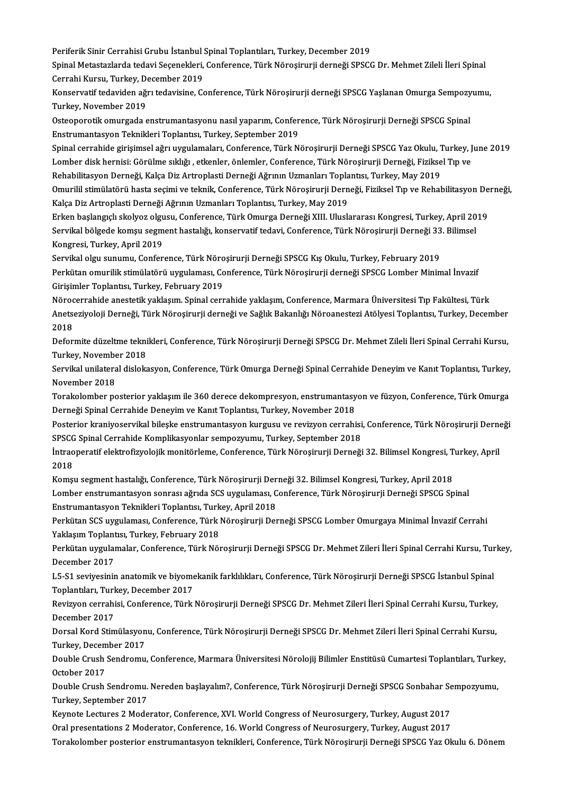Periferik Sinir Cerrahisi Grubu İstanbul Spinal Toplantıları, Turkey, December 2019<br>Spinal Metastarlarda tedavi Secanaklari, Conference, Türk Nörecimurii derneği SPSCC

Spinal Metastazlarda tedavi Seçenekleri, Conference, Türk Nöroşirurji derneği SPSCG Dr. Mehmet Zileli İleri Spinal<br>Cerrahi Kursu, Turkey, December 2019 Periferik Sinir Cerrahisi Grubu İstanbul :<br>Spinal Metastazlarda tedavi Seçenekleri,<br>Cerrahi Kursu, Turkey, December 2019<br>Kansarvatif tedavidan ağrı tedavisine, Co Spinal Metastazlarda tedavi Seçenekleri, Conference, Türk Nöroşirurji derneği SPSCG Dr. Mehmet Zileli İleri Spinal<br>Cerrahi Kursu, Turkey, December 2019<br>Konservatif tedaviden ağrı tedavisine, Conference, Türk Nöroşirurji de

Cerrahi Kursu, Turkey, D<br>Konservatif tedaviden ağı<br>Turkey, November 2019<br>Osteonoratik omurgada e Konservatif tedaviden ağrı tedavisine, Conference, Türk Nöroşirurji derneği SPSCG Yaşlanan Omurga Sempozy<br>Turkey, November 2019<br>Osteoporotik omurgada enstrumantasyonu nasıl yaparım, Conference, Türk Nöroşirurji Derneği SPS

Turkey, November 2019<br>Osteoporotik omurgada enstrumantasyonu nasıl yaparım, Conference, Türk Nöroşirurji Derneği SPSCG Spinal<br>Enstrumantasyon Teknikleri Toplantısı, Turkey, September 2019 Osteoporotik omurgada enstrumantasyonu nasıl yaparım, Conference, Türk Nöroşirurji Derneği SPSCG Spinal<br>Enstrumantasyon Teknikleri Toplantısı, Turkey, September 2019<br>Spinal cerrahide girişimsel ağrı uygulamaları, Conferenc

Enstrumantasyon Teknikleri Toplantısı, Turkey, September 2019<br>Spinal cerrahide girişimsel ağrı uygulamaları, Conference, Türk Nöroşirurji Derneği SPSCG Yaz Okulu, Turkey, J<br>Lomber disk hernisi: Görülme sıklığı , etkenler, Spinal cerrahide girişimsel ağrı uygulamaları, Conference, Türk Nöroşirurji Derneği SPSCG Yaz Okulu, 1<br>Lomber disk hernisi: Görülme sıklığı , etkenler, önlemler, Conference, Türk Nöroşirurji Derneği, Fizikse<br>Rehabilitasyon Lomber disk hernisi: Görülme sıklığı , etkenler, önlemler, Conference, Türk Nöroşirurji Derneği, Fiziksel Tıp ve<br>Rehabilitasyon Derneği, Kalça Diz Artroplasti Derneği Ağrının Uzmanları Toplantısı, Turkey, May 2019<br>Omurilil

Rehabilitasyon Derneği, Kalça Diz Artroplasti Derneği Ağrının Uzmanları Topla<br>Omurilil stimülatörü hasta seçimi ve teknik, Conference, Türk Nöroşirurji Dern<br>Kalça Diz Artroplasti Derneği Ağrının Uzmanları Toplantısı, Turke Omurilil stimülatörü hasta seçimi ve teknik, Conference, Türk Nöroşirurji Derneği, Fiziksel Tıp ve Rehabilitasyon De<br>Kalça Diz Artroplasti Derneği Ağrının Uzmanları Toplantısı, Turkey, May 2019<br>Erken başlangıçlı skolyoz ol

Kalça Diz Artroplasti Derneği Ağrının Uzmanları Toplantısı, Turkey, May 2019<br>Erken başlangıçlı skolyoz olgusu, Conference, Türk Omurga Derneği XIII. Uluslararası Kongresi, Turkey, April 20<br>Servikal bölgede komşu segment ha Erken başlangıçlı skolyoz olgu<br>Servikal bölgede komşu segm<br>Kongresi, Turkey, April 2019<br>Servikal olgu sunumu, Confor Servikal bölgede komşu segment hastalığı, konservatif tedavi, Conference, Türk Nöroşirurji Derneği 33<br>Kongresi, Turkey, April 2019<br>Servikal olgu sunumu, Conference, Türk Nöroşirurji Derneği SPSCG Kış Okulu, Turkey, Februar

Kongresi, Turkey, April 2019<br>Servikal olgu sunumu, Conference, Türk Nöroşirurji Derneği SPSCG Kış Okulu, Turkey, February 2019<br>Perkütan omurilik stimülatörü uygulaması, Conference, Türk Nöroşirurji derneği SPSCG Lomber Min Servikal olgu sunumu, Conference, Türk Nöroşirurji Derneği SPSCG Kış Okulu, Turkey, February 2019 Perkütan omurilik stimülatörü uygulaması, Conference, Türk Nöroşirurji derneği SPSCG Lomber Minimal İnvazif<br>Girişimler Toplantısı, Turkey, February 2019<br>Nörocerrahide anestetik yaklaşım. Spinal cerrahide yaklaşım, Conferen

Girişimler Toplantısı, Turkey, February 2019<br>Nörocerrahide anestetik yaklaşım. Spinal cerrahide yaklaşım, Conference, Marmara Üniversitesi Tıp Fakültesi, Türk<br>Anetseziyoloji Derneği, Türk Nöroşirurji derneği ve Sağlık Baka Nöroc<br>Anets<br>2018<br>Defer Anetseziyoloji Derneği, Türk Nöroşirurji derneği ve Sağlık Bakanlığı Nöroanestezi Atölyesi Toplantısı, Turkey, December<br>2018<br>Deformite düzeltme teknikleri, Conference, Türk Nöroşirurji Derneği SPSCG Dr. Mehmet Zileli İleri

2018<br>Deformite düzeltme tekni<br>Turkey, November 2018<br>Servikal unilateral dialaks Deformite düzeltme teknikleri, Conference, Türk Nöroşirurji Derneği SPSCG Dr. Mehmet Zileli İleri Spinal Cerrahi Kursu,<br>Turkey, November 2018<br>Servikal unilateral dislokasyon, Conference, Türk Omurga Derneği Spinal Cerrahid

Turkey, November<br>Servikal unilatera<br>November 2018<br>Terskelember ne Servikal unilateral dislokasyon, Conference, Türk Omurga Derneği Spinal Cerrahide Deneyim ve Kanıt Toplantısı, Turkey,<br>November 2018<br>Torakolomber posterior yaklaşım ile 360 derece dekompresyon, enstrumantasyon ve füzyon, C

November 2018<br>Torakolomber posterior yaklaşım ile 360 derece dekompresyon, enstrumantasyon ve füzyon, Conference, Türk Omurga<br>Derneği Spinal Cerrahide Deneyim ve Kanıt Toplantısı, Turkey, November 2018 Torakolomber posterior yaklaşım ile 360 derece dekompresyon, enstrumantasyon ve füzyon, Conference, Türk Omurga<br>Derneği Spinal Cerrahide Deneyim ve Kanıt Toplantısı, Turkey, November 2018<br>Posterior kraniyoservikal bileşke

Derneği Spinal Cerrahide Deneyim ve Kanıt Toplantısı, Turkey, November 2018<br>Posterior kraniyoservikal bileşke enstrumantasyon kurgusu ve revizyon cerrahisi<br>SPSCG Spinal Cerrahide Komplikasyonlar sempozyumu, Turkey, Septemb Posterior kraniyoservikal bileşke enstrumantasyon kurgusu ve revizyon cerrahisi, Conference, Türk Nöroşirurji Dern<br>SPSCG Spinal Cerrahide Komplikasyonlar sempozyumu, Turkey, September 2018<br>İntraoperatif elektrofizyolojik m

SPSCG Spinal Cerrahide Komplikasyonlar sempozyumu, Turkey, September 2018<br>İntraoperatif elektrofizyolojik monitörleme, Conference, Türk Nöroşirurji Derneği 32. Bilimsel Kongresi, Turkey, April<br>2018 İntraoperatif elektrofizyolojik monitörleme, Conference, Türk Nöroşirurji Derneği 32. Bilimsel Kongresi, T<br>2018<br>Komşu segment hastalığı, Conference, Türk Nöroşirurji Derneği 32. Bilimsel Kongresi, Turkey, April 2018<br>Lambar

2018<br>Komşu segment hastalığı, Conference, Türk Nöroşirurji Derneği 32. Bilimsel Kongresi, Turkey, April 2018<br>Lomber enstrumantasyon sonrası ağrıda SCS uygulaması, Conference, Türk Nöroşirurji Derneği SPSCG Spinal<br>Enstruman Komşu segment hastalığı, Conference, Türk Nöroşirurji Der<br>Lomber enstrumantasyon sonrası ağrıda SCS uygulaması, C<br>Enstrumantasyon Teknikleri Toplantısı, Turkey, April 2018<br>Perkütan SCS uygulaması, Conference, Türk Nörosinu Lomber enstrumantasyon sonrası ağrıda SCS uygulaması, Conference, Türk Nöroşirurji Derneği SPSCG Spinal<br>Enstrumantasyon Teknikleri Toplantısı, Turkey, April 2018<br>Perkütan SCS uygulaması, Conference, Türk Nöroşirurji Derneğ

Enstrumantasyon Teknikleri Toplantısı, Turk<br>Perkütan SCS uygulaması, Conference, Türk<br>Yaklaşım Toplantısı, Turkey, February 2018<br>Perkütan uygulamalar, Conference, Türk Nö Perkütan SCS uygulaması, Conference, Türk Nöroşirurji Derneği SPSCG Lomber Omurgaya Minimal İnvazif Cerrahi<br>Yaklaşım Toplantısı, Turkey, February 2018<br>Perkütan uygulamalar, Conference, Türk Nöroşirurji Derneği SPSCG Dr. Me

Yaklaşım Toplantısı, Turkey, February 2018<br>Perkütan uygulamalar, Conference, Türk Nö<br>December 2017 Perkütan uygulamalar, Conference, Türk Nöroşirurji Derneği SPSCG Dr. Mehmet Zileri İleri Spinal Cerrahi Kursu, Tur<br>December 2017<br>L5-S1 seviyesinin anatomik ve biyomekanik farklılıkları, Conference, Türk Nöroşirurji Derneği

L5-S1 seviyesinin anatomik ve biyomekanik farklılıkları, Conference, Türk Nöroşirurji Derneği SPSCG İstanbul Spinal<br>Toplantıları, Turkey, December 2017 L5-S1 seviyesinin anatomik ve biyomekanik farklılıkları, Conference, Türk Nöroşirurji Derneği SPSCG İstanbul Spinal<br>Toplantıları, Turkey, December 2017<br>Revizyon cerrahisi, Conference, Türk Nöroşirurji Derneği SPSCG Dr. Meh

Toplantıları, Tur<mark>l</mark><br>Revizyon cerrahi<br>December 2017<br>Dersel Kord Stim Revizyon cerrahisi, Conference, Türk Nöroşirurji Derneği SPSCG Dr. Mehmet Zileri İleri Spinal Cerrahi Kursu, Turkey,<br>December 2017<br>Dorsal Kord Stimülasyonu, Conference, Türk Nöroşirurji Derneği SPSCG Dr. Mehmet Zileri İler

December 2017<br>Dorsal Kord Stimülasyonu, Conference, Türk Nöroşirurji Derneği SPSCG Dr. Mehmet Zileri İleri Spinal Cerrahi Kursu, Turkey, December 2017

Double Crush Sendromu, Conference, Marmara Üniversitesi Nörolojij Bilimler Enstitüsü Cumartesi Toplantıları, Turkey,<br>October 2017 Double Crush Sendromu, Conference, Marmara Üniversitesi Nörolojij Bilimler Enstitüsü Cumartesi Toplantıları, Turke<br>October 2017<br>Double Crush Sendromu. Nereden başlayalım?, Conference, Türk Nöroşirurji Derneği SPSCG Sonbaha

October 2017<br>Double Crush Sendromu.<br>Turkey, September 2017<br>Kaynata Lestures 2 Mede Double Crush Sendromu. Nereden başlayalım?, Conference, Türk Nöroşirurji Derneği SPSCG Sonbahar Se<br>Turkey, September 2017<br>Keynote Lectures 2 Moderator, Conference, XVI. World Congress of Neurosurgery, Turkey, August 2017<br>O

Turkey, September 2017<br>Keynote Lectures 2 Moderator, Conference, XVI. World Congress of Neurosurgery, Turkey, August 2017<br>Oral presentations 2 Moderator, Conference, 16. World Congress of Neurosurgery, Turkey, August 2017

Torakolomber posterior enstrumantasyon teknikleri, Conference, Türk Nöroşirurji Derneği SPSCG Yaz Okulu 6. Dönem